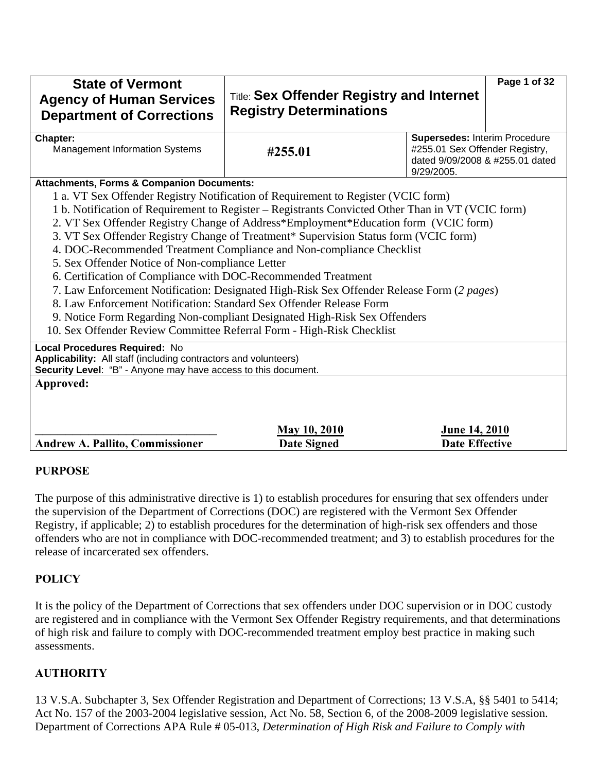| <b>State of Vermont</b><br><b>Agency of Human Services</b><br><b>Department of Corrections</b>                                                                     | <b>Title: Sex Offender Registry and Internet</b><br><b>Registry Determinations</b>                |                                                                                                                  | Page 1 of 32 |  |  |
|--------------------------------------------------------------------------------------------------------------------------------------------------------------------|---------------------------------------------------------------------------------------------------|------------------------------------------------------------------------------------------------------------------|--------------|--|--|
| Chapter:<br><b>Management Information Systems</b>                                                                                                                  | #255.01                                                                                           | Supersedes: Interim Procedure<br>#255.01 Sex Offender Registry,<br>dated 9/09/2008 & #255.01 dated<br>9/29/2005. |              |  |  |
| <b>Attachments, Forms &amp; Companion Documents:</b>                                                                                                               |                                                                                                   |                                                                                                                  |              |  |  |
|                                                                                                                                                                    | 1 a. VT Sex Offender Registry Notification of Requirement to Register (VCIC form)                 |                                                                                                                  |              |  |  |
|                                                                                                                                                                    | 1 b. Notification of Requirement to Register - Registrants Convicted Other Than in VT (VCIC form) |                                                                                                                  |              |  |  |
|                                                                                                                                                                    | 2. VT Sex Offender Registry Change of Address*Employment*Education form (VCIC form)               |                                                                                                                  |              |  |  |
|                                                                                                                                                                    | 3. VT Sex Offender Registry Change of Treatment* Supervision Status form (VCIC form)              |                                                                                                                  |              |  |  |
|                                                                                                                                                                    | 4. DOC-Recommended Treatment Compliance and Non-compliance Checklist                              |                                                                                                                  |              |  |  |
| 5. Sex Offender Notice of Non-compliance Letter                                                                                                                    |                                                                                                   |                                                                                                                  |              |  |  |
| 6. Certification of Compliance with DOC-Recommended Treatment                                                                                                      |                                                                                                   |                                                                                                                  |              |  |  |
|                                                                                                                                                                    | 7. Law Enforcement Notification: Designated High-Risk Sex Offender Release Form (2 pages)         |                                                                                                                  |              |  |  |
| 8. Law Enforcement Notification: Standard Sex Offender Release Form                                                                                                |                                                                                                   |                                                                                                                  |              |  |  |
|                                                                                                                                                                    | 9. Notice Form Regarding Non-compliant Designated High-Risk Sex Offenders                         |                                                                                                                  |              |  |  |
| 10. Sex Offender Review Committee Referral Form - High-Risk Checklist                                                                                              |                                                                                                   |                                                                                                                  |              |  |  |
| Local Procedures Required: No<br>Applicability: All staff (including contractors and volunteers)<br>Security Level: "B" - Anyone may have access to this document. |                                                                                                   |                                                                                                                  |              |  |  |
| Approved:                                                                                                                                                          |                                                                                                   |                                                                                                                  |              |  |  |
|                                                                                                                                                                    |                                                                                                   |                                                                                                                  |              |  |  |
|                                                                                                                                                                    |                                                                                                   |                                                                                                                  |              |  |  |
|                                                                                                                                                                    | <b>May 10, 2010</b>                                                                               | June 14, 2010                                                                                                    |              |  |  |
| <b>Andrew A. Pallito, Commissioner</b>                                                                                                                             | <b>Date Signed</b>                                                                                | <b>Date Effective</b>                                                                                            |              |  |  |

#### **PURPOSE**

The purpose of this administrative directive is 1) to establish procedures for ensuring that sex offenders under the supervision of the Department of Corrections (DOC) are registered with the Vermont Sex Offender Registry, if applicable; 2) to establish procedures for the determination of high-risk sex offenders and those offenders who are not in compliance with DOC-recommended treatment; and 3) to establish procedures for the release of incarcerated sex offenders.

## **POLICY**

It is the policy of the Department of Corrections that sex offenders under DOC supervision or in DOC custody are registered and in compliance with the Vermont Sex Offender Registry requirements, and that determinations of high risk and failure to comply with DOC-recommended treatment employ best practice in making such assessments.

# **AUTHORITY**

13 V.S.A. Subchapter 3, Sex Offender Registration and Department of Corrections; 13 V.S.A, §§ 5401 to 5414; Act No. 157 of the 2003-2004 legislative session, Act No. 58, Section 6, of the 2008-2009 legislative session. Department of Corrections APA Rule # 05-013, *Determination of High Risk and Failure to Comply with*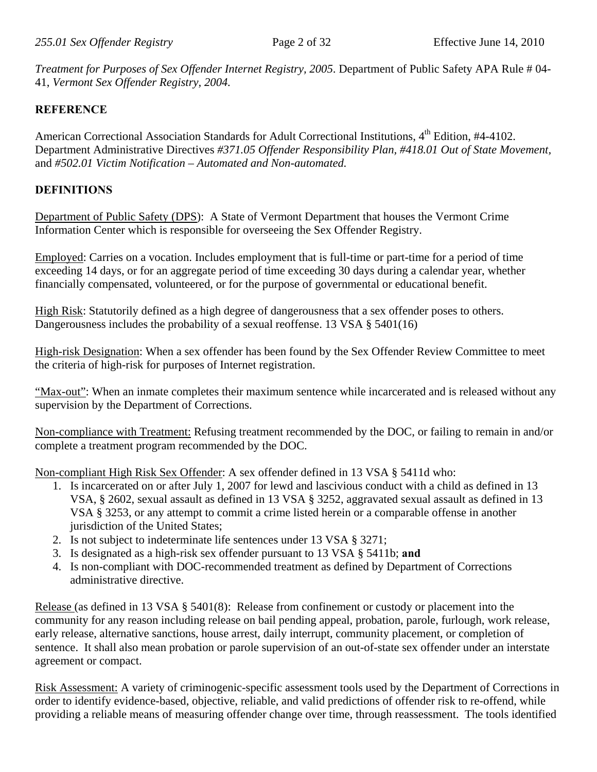*Treatment for Purposes of Sex Offender Internet Registry, 2005*. Department of Public Safety APA Rule # 04- 41, *Vermont Sex Offender Registry, 2004.* 

## **REFERENCE**

American Correctional Association Standards for Adult Correctional Institutions, 4<sup>th</sup> Edition, #4-4102. Department Administrative Directives *#371.05 Offender Responsibility Plan, #418.01 Out of State Movement,* and *#502.01 Victim Notification – Automated and Non-automated.* 

# **DEFINITIONS**

Department of Public Safety (DPS): A State of Vermont Department that houses the Vermont Crime Information Center which is responsible for overseeing the Sex Offender Registry.

Employed: Carries on a vocation. Includes employment that is full-time or part-time for a period of time exceeding 14 days, or for an aggregate period of time exceeding 30 days during a calendar year, whether financially compensated, volunteered, or for the purpose of governmental or educational benefit.

High Risk: Statutorily defined as a high degree of dangerousness that a sex offender poses to others. Dangerousness includes the probability of a sexual reoffense. 13 VSA § 5401(16)

High-risk Designation: When a sex offender has been found by the Sex Offender Review Committee to meet the criteria of high-risk for purposes of Internet registration.

"Max-out": When an inmate completes their maximum sentence while incarcerated and is released without any supervision by the Department of Corrections.

Non-compliance with Treatment: Refusing treatment recommended by the DOC, or failing to remain in and/or complete a treatment program recommended by the DOC.

Non-compliant High Risk Sex Offender: A sex offender defined in 13 VSA § 5411d who:

- 1. Is incarcerated on or after July 1, 2007 for lewd and lascivious conduct with a child as defined in 13 VSA, § 2602, sexual assault as defined in 13 VSA § 3252, aggravated sexual assault as defined in 13 VSA § 3253, or any attempt to commit a crime listed herein or a comparable offense in another jurisdiction of the United States;
- 2. Is not subject to indeterminate life sentences under 13 VSA § 3271;
- 3. Is designated as a high-risk sex offender pursuant to 13 VSA § 5411b; **and**
- 4. Is non-compliant with DOC-recommended treatment as defined by Department of Corrections administrative directive.

Release (as defined in 13 VSA § 5401(8): Release from confinement or custody or placement into the community for any reason including release on bail pending appeal, probation, parole, furlough, work release, early release, alternative sanctions, house arrest, daily interrupt, community placement, or completion of sentence. It shall also mean probation or parole supervision of an out-of-state sex offender under an interstate agreement or compact.

Risk Assessment: A variety of criminogenic-specific assessment tools used by the Department of Corrections in order to identify evidence-based, objective, reliable, and valid predictions of offender risk to re-offend, while providing a reliable means of measuring offender change over time, through reassessment. The tools identified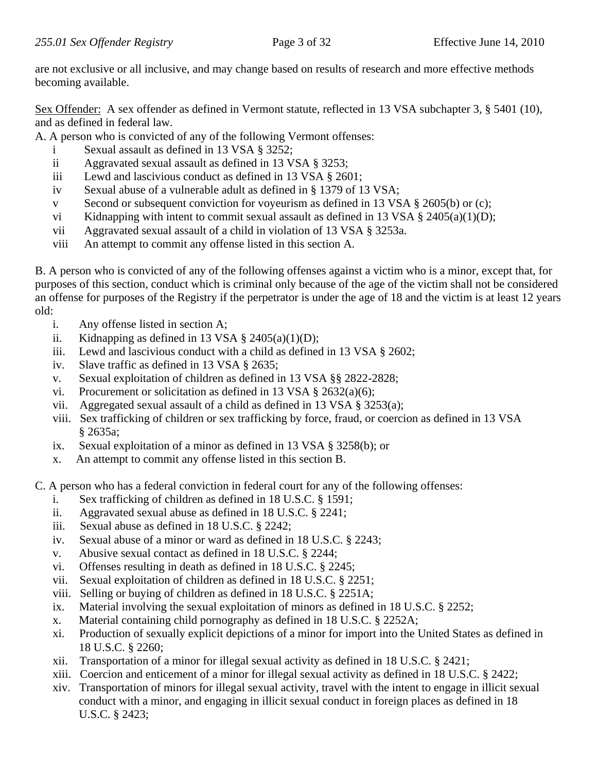are not exclusive or all inclusive, and may change based on results of research and more effective methods becoming available.

Sex Offender: A sex offender as defined in Vermont statute, reflected in 13 VSA subchapter 3, § 5401 (10), and as defined in federal law.

A. A person who is convicted of any of the following Vermont offenses:

- i Sexual assault as defined in 13 VSA § 3252;
- ii Aggravated sexual assault as defined in 13 VSA § 3253;
- iii Lewd and lascivious conduct as defined in 13 VSA § 2601;
- iv Sexual abuse of a vulnerable adult as defined in § 1379 of 13 VSA;
- v Second or subsequent conviction for voyeurism as defined in 13 VSA § 2605(b) or (c);
- vi Kidnapping with intent to commit sexual assault as defined in 13 VSA  $\S$  2405(a)(1)(D);
- vii Aggravated sexual assault of a child in violation of 13 VSA § 3253a.
- viii An attempt to commit any offense listed in this section A.

B. A person who is convicted of any of the following offenses against a victim who is a minor, except that, for purposes of this section, conduct which is criminal only because of the age of the victim shall not be considered an offense for purposes of the Registry if the perpetrator is under the age of 18 and the victim is at least 12 years old:

- i. Any offense listed in section A;
- ii. Kidnapping as defined in 13 VSA  $\S$  2405(a)(1)(D);
- iii. Lewd and lascivious conduct with a child as defined in 13 VSA § 2602;
- iv. Slave traffic as defined in 13 VSA § 2635;
- v. Sexual exploitation of children as defined in 13 VSA §§ 2822-2828;
- vi. Procurement or solicitation as defined in 13 VSA  $\S$  2632(a)(6);
- vii. Aggregated sexual assault of a child as defined in 13 VSA § 3253(a);
- viii. Sex trafficking of children or sex trafficking by force, fraud, or coercion as defined in 13 VSA § 2635a;
- ix. Sexual exploitation of a minor as defined in 13 VSA § 3258(b); or
- x. An attempt to commit any offense listed in this section B.

C. A person who has a federal conviction in federal court for any of the following offenses:

- i. Sex trafficking of children as defined in 18 U.S.C. § 1591;
- ii. Aggravated sexual abuse as defined in 18 U.S.C. § 2241;
- iii. Sexual abuse as defined in 18 U.S.C. § 2242;
- iv. Sexual abuse of a minor or ward as defined in 18 U.S.C. § 2243;
- v. Abusive sexual contact as defined in 18 U.S.C. § 2244;
- vi. Offenses resulting in death as defined in 18 U.S.C. § 2245;
- vii. Sexual exploitation of children as defined in 18 U.S.C. § 2251;
- viii. Selling or buying of children as defined in 18 U.S.C. § 2251A;
- ix. Material involving the sexual exploitation of minors as defined in 18 U.S.C. § 2252;
- x. Material containing child pornography as defined in 18 U.S.C. § 2252A;
- xi. Production of sexually explicit depictions of a minor for import into the United States as defined in 18 U.S.C. § 2260;
- xii. Transportation of a minor for illegal sexual activity as defined in 18 U.S.C. § 2421;
- xiii. Coercion and enticement of a minor for illegal sexual activity as defined in 18 U.S.C. § 2422;
- xiv. Transportation of minors for illegal sexual activity, travel with the intent to engage in illicit sexual conduct with a minor, and engaging in illicit sexual conduct in foreign places as defined in 18 U.S.C. § 2423;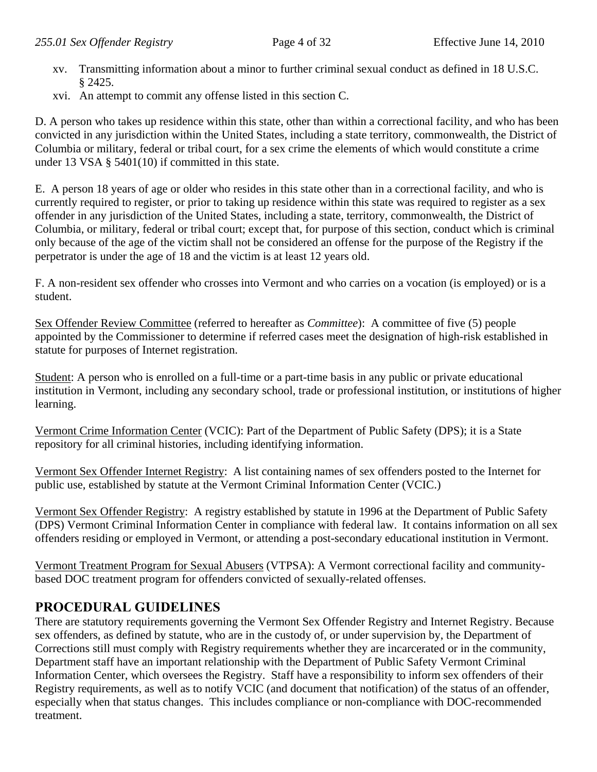- xv. Transmitting information about a minor to further criminal sexual conduct as defined in 18 U.S.C. § 2425.
- xvi. An attempt to commit any offense listed in this section C.

D. A person who takes up residence within this state, other than within a correctional facility, and who has been convicted in any jurisdiction within the United States, including a state territory, commonwealth, the District of Columbia or military, federal or tribal court, for a sex crime the elements of which would constitute a crime under 13 VSA § 5401(10) if committed in this state.

E. A person 18 years of age or older who resides in this state other than in a correctional facility, and who is currently required to register, or prior to taking up residence within this state was required to register as a sex offender in any jurisdiction of the United States, including a state, territory, commonwealth, the District of Columbia, or military, federal or tribal court; except that, for purpose of this section, conduct which is criminal only because of the age of the victim shall not be considered an offense for the purpose of the Registry if the perpetrator is under the age of 18 and the victim is at least 12 years old.

F. A non-resident sex offender who crosses into Vermont and who carries on a vocation (is employed) or is a student.

Sex Offender Review Committee (referred to hereafter as *Committee*): A committee of five (5) people appointed by the Commissioner to determine if referred cases meet the designation of high-risk established in statute for purposes of Internet registration.

Student: A person who is enrolled on a full-time or a part-time basis in any public or private educational institution in Vermont, including any secondary school, trade or professional institution, or institutions of higher learning.

Vermont Crime Information Center (VCIC): Part of the Department of Public Safety (DPS); it is a State repository for all criminal histories, including identifying information.

Vermont Sex Offender Internet Registry: A list containing names of sex offenders posted to the Internet for public use, established by statute at the Vermont Criminal Information Center (VCIC.)

Vermont Sex Offender Registry: A registry established by statute in 1996 at the Department of Public Safety (DPS) Vermont Criminal Information Center in compliance with federal law. It contains information on all sex offenders residing or employed in Vermont, or attending a post-secondary educational institution in Vermont.

Vermont Treatment Program for Sexual Abusers (VTPSA): A Vermont correctional facility and communitybased DOC treatment program for offenders convicted of sexually-related offenses.

# **PROCEDURAL GUIDELINES**

There are statutory requirements governing the Vermont Sex Offender Registry and Internet Registry. Because sex offenders, as defined by statute, who are in the custody of, or under supervision by, the Department of Corrections still must comply with Registry requirements whether they are incarcerated or in the community, Department staff have an important relationship with the Department of Public Safety Vermont Criminal Information Center, which oversees the Registry. Staff have a responsibility to inform sex offenders of their Registry requirements, as well as to notify VCIC (and document that notification) of the status of an offender, especially when that status changes. This includes compliance or non-compliance with DOC-recommended treatment.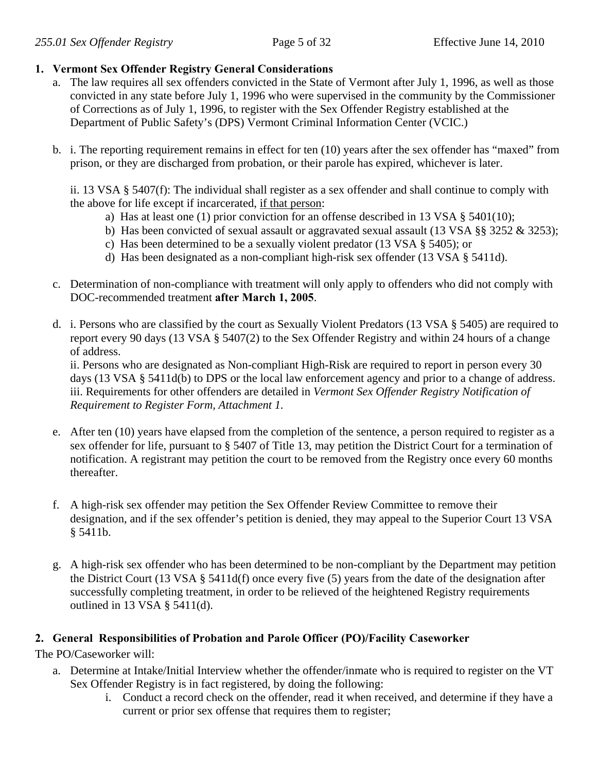## **1. Vermont Sex Offender Registry General Considerations**

- a. The law requires all sex offenders convicted in the State of Vermont after July 1, 1996, as well as those convicted in any state before July 1, 1996 who were supervised in the community by the Commissioner of Corrections as of July 1, 1996, to register with the Sex Offender Registry established at the Department of Public Safety's (DPS) Vermont Criminal Information Center (VCIC.)
- b. i. The reporting requirement remains in effect for ten (10) years after the sex offender has "maxed" from prison, or they are discharged from probation, or their parole has expired, whichever is later.

ii. 13 VSA § 5407(f): The individual shall register as a sex offender and shall continue to comply with the above for life except if incarcerated, if that person:

- a) Has at least one (1) prior conviction for an offense described in 13 VSA § 5401(10);
- b) Has been convicted of sexual assault or aggravated sexual assault (13 VSA §§ 3252  $\&$  3253);
- c) Has been determined to be a sexually violent predator (13 VSA § 5405); or
- d) Has been designated as a non-compliant high-risk sex offender (13 VSA § 5411d).
- c. Determination of non-compliance with treatment will only apply to offenders who did not comply with DOC-recommended treatment **after March 1, 2005**.
- d. i. Persons who are classified by the court as Sexually Violent Predators (13 VSA § 5405) are required to report every 90 days (13 VSA § 5407(2) to the Sex Offender Registry and within 24 hours of a change of address.

ii. Persons who are designated as Non-compliant High-Risk are required to report in person every 30 days (13 VSA § 5411d(b) to DPS or the local law enforcement agency and prior to a change of address. iii. Requirements for other offenders are detailed in *Vermont Sex Offender Registry Notification of Requirement to Register Form, Attachment 1.* 

- e. After ten (10) years have elapsed from the completion of the sentence, a person required to register as a sex offender for life, pursuant to § 5407 of Title 13, may petition the District Court for a termination of notification. A registrant may petition the court to be removed from the Registry once every 60 months thereafter.
- f. A high-risk sex offender may petition the Sex Offender Review Committee to remove their designation, and if the sex offender's petition is denied, they may appeal to the Superior Court 13 VSA § 5411b.
- g. A high-risk sex offender who has been determined to be non-compliant by the Department may petition the District Court (13 VSA § 5411d(f) once every five (5) years from the date of the designation after successfully completing treatment, in order to be relieved of the heightened Registry requirements outlined in 13 VSA § 5411(d).

## **2. General Responsibilities of Probation and Parole Officer (PO)/Facility Caseworker**

The PO/Caseworker will:

- a. Determine at Intake/Initial Interview whether the offender/inmate who is required to register on the VT Sex Offender Registry is in fact registered, by doing the following:
	- i. Conduct a record check on the offender, read it when received, and determine if they have a current or prior sex offense that requires them to register;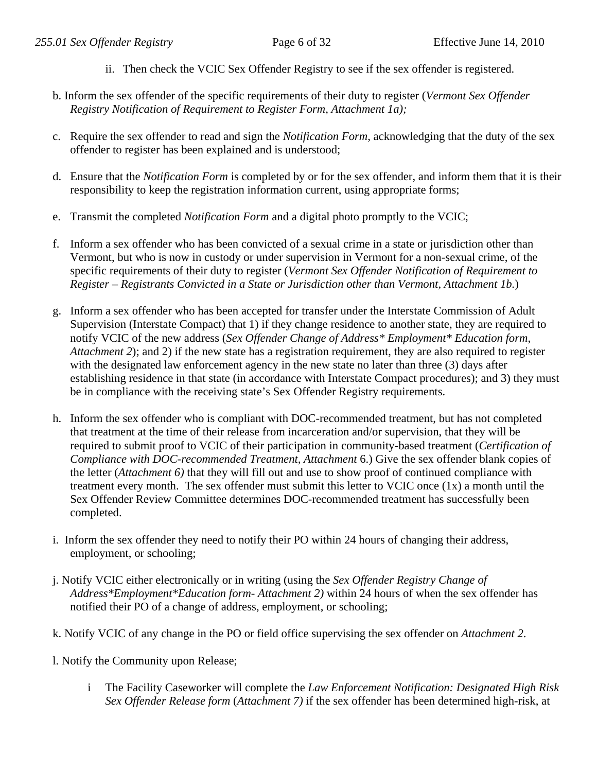- ii. Then check the VCIC Sex Offender Registry to see if the sex offender is registered.
- b. Inform the sex offender of the specific requirements of their duty to register (*Vermont Sex Offender Registry Notification of Requirement to Register Form, Attachment 1a);*
- c. Require the sex offender to read and sign the *Notification Form*, acknowledging that the duty of the sex offender to register has been explained and is understood;
- d. Ensure that the *Notification Form* is completed by or for the sex offender, and inform them that it is their responsibility to keep the registration information current, using appropriate forms;
- e. Transmit the completed *Notification Form* and a digital photo promptly to the VCIC;
- f. Inform a sex offender who has been convicted of a sexual crime in a state or jurisdiction other than Vermont, but who is now in custody or under supervision in Vermont for a non-sexual crime, of the specific requirements of their duty to register (*Vermont Sex Offender Notification of Requirement to Register – Registrants Convicted in a State or Jurisdiction other than Vermont, Attachment 1b.*)
- g. Inform a sex offender who has been accepted for transfer under the Interstate Commission of Adult Supervision (Interstate Compact) that 1) if they change residence to another state, they are required to notify VCIC of the new address (*Sex Offender Change of Address\* Employment\* Education form*, *Attachment 2*); and 2) if the new state has a registration requirement, they are also required to register with the designated law enforcement agency in the new state no later than three (3) days after establishing residence in that state (in accordance with Interstate Compact procedures); and 3) they must be in compliance with the receiving state's Sex Offender Registry requirements.
- h. Inform the sex offender who is compliant with DOC-recommended treatment, but has not completed that treatment at the time of their release from incarceration and/or supervision, that they will be required to submit proof to VCIC of their participation in community-based treatment (*Certification of Compliance with DOC-recommended Treatment, Attachment* 6.) Give the sex offender blank copies of the letter (*Attachment 6)* that they will fill out and use to show proof of continued compliance with treatment every month. The sex offender must submit this letter to VCIC once (1x) a month until the Sex Offender Review Committee determines DOC-recommended treatment has successfully been completed.
- i. Inform the sex offender they need to notify their PO within 24 hours of changing their address, employment, or schooling;
- j. Notify VCIC either electronically or in writing (using the *Sex Offender Registry Change of Address\*Employment\*Education form- Attachment 2)* within 24 hours of when the sex offender has notified their PO of a change of address, employment, or schooling;
- k. Notify VCIC of any change in the PO or field office supervising the sex offender on *Attachment 2*.
- l. Notify the Community upon Release;
	- i The Facility Caseworker will complete the *Law Enforcement Notification: Designated High Risk Sex Offender Release form* (*Attachment 7)* if the sex offender has been determined high-risk, at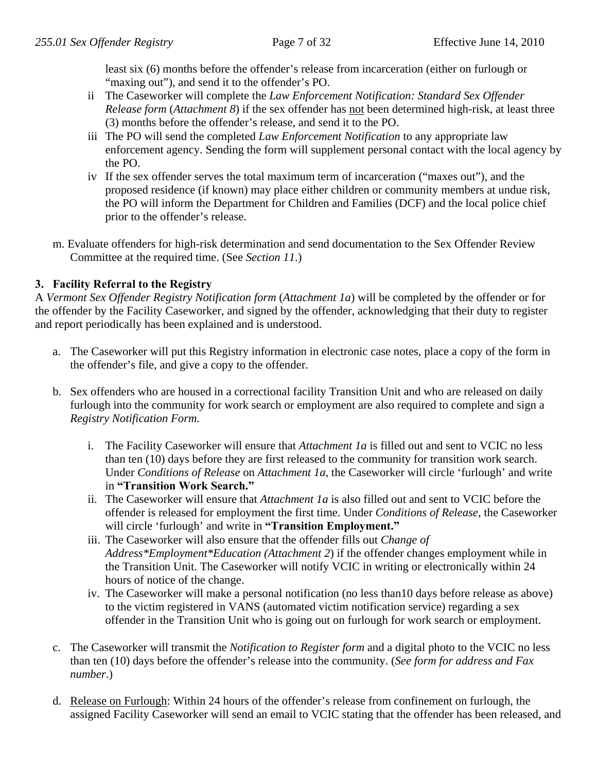least six (6) months before the offender's release from incarceration (either on furlough or "maxing out"), and send it to the offender's PO.

- ii The Caseworker will complete the *Law Enforcement Notification: Standard Sex Offender Release form* (*Attachment 8*) if the sex offender has not been determined high-risk, at least three (3) months before the offender's release, and send it to the PO.
- iii The PO will send the completed *Law Enforcement Notification* to any appropriate law enforcement agency. Sending the form will supplement personal contact with the local agency by the PO.
- iv If the sex offender serves the total maximum term of incarceration ("maxes out"), and the proposed residence (if known) may place either children or community members at undue risk, the PO will inform the Department for Children and Families (DCF) and the local police chief prior to the offender's release.
- m. Evaluate offenders for high-risk determination and send documentation to the Sex Offender Review Committee at the required time. (See *Section 11*.)

## **3. Facility Referral to the Registry**

A *Vermont Sex Offender Registry Notification form* (*Attachment 1a*) will be completed by the offender or for the offender by the Facility Caseworker, and signed by the offender, acknowledging that their duty to register and report periodically has been explained and is understood.

- a. The Caseworker will put this Registry information in electronic case notes, place a copy of the form in the offender's file, and give a copy to the offender.
- b. Sex offenders who are housed in a correctional facility Transition Unit and who are released on daily furlough into the community for work search or employment are also required to complete and sign a *Registry Notification Form.*
	- i. The Facility Caseworker will ensure that *Attachment 1a* is filled out and sent to VCIC no less than ten (10) days before they are first released to the community for transition work search. Under *Conditions of Release* on *Attachment 1a*, the Caseworker will circle 'furlough' and write in **"Transition Work Search."**
	- ii. The Caseworker will ensure that *Attachment 1a* is also filled out and sent to VCIC before the offender is released for employment the first time. Under *Conditions of Release*, the Caseworker will circle 'furlough' and write in **"Transition Employment."**
	- iii. The Caseworker will also ensure that the offender fills out *Change of Address\*Employment\*Education (Attachment 2*) if the offender changes employment while in the Transition Unit. The Caseworker will notify VCIC in writing or electronically within 24 hours of notice of the change.
	- iv. The Caseworker will make a personal notification (no less than10 days before release as above) to the victim registered in VANS (automated victim notification service) regarding a sex offender in the Transition Unit who is going out on furlough for work search or employment.
- c. The Caseworker will transmit the *Notification to Register form* and a digital photo to the VCIC no less than ten (10) days before the offender's release into the community. (*See form for address and Fax number*.)
- d. Release on Furlough: Within 24 hours of the offender's release from confinement on furlough, the assigned Facility Caseworker will send an email to VCIC stating that the offender has been released, and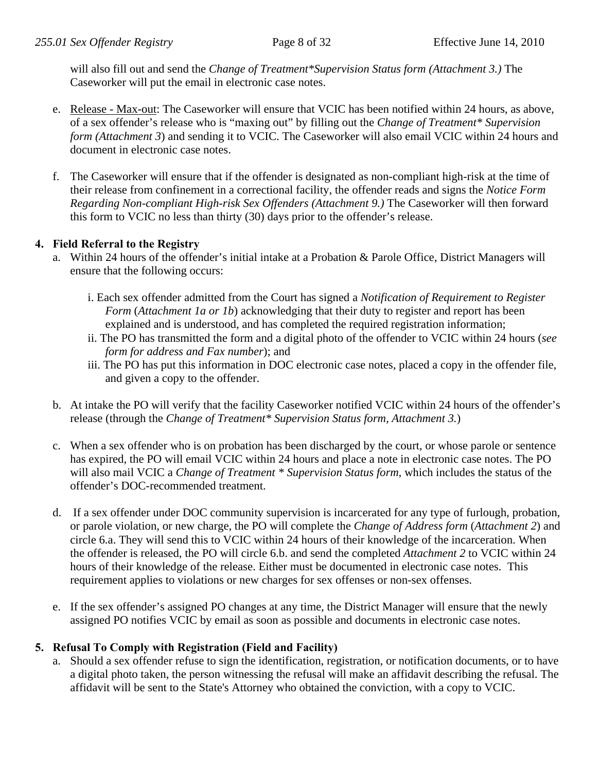will also fill out and send the *Change of Treatment\*Supervision Status form (Attachment 3.)* The Caseworker will put the email in electronic case notes.

- e. Release Max-out: The Caseworker will ensure that VCIC has been notified within 24 hours, as above, of a sex offender's release who is "maxing out" by filling out the *Change of Treatment\* Supervision form (Attachment 3)* and sending it to VCIC. The Caseworker will also email VCIC within 24 hours and document in electronic case notes.
- f. The Caseworker will ensure that if the offender is designated as non-compliant high-risk at the time of their release from confinement in a correctional facility, the offender reads and signs the *Notice Form Regarding Non-compliant High-risk Sex Offenders (Attachment 9.)* The Caseworker will then forward this form to VCIC no less than thirty (30) days prior to the offender's release.

# **4. Field Referral to the Registry**

- a. Within 24 hours of the offender's initial intake at a Probation & Parole Office, District Managers will ensure that the following occurs:
	- i. Each sex offender admitted from the Court has signed a *Notification of Requirement to Register Form* (*Attachment 1a or 1b*) acknowledging that their duty to register and report has been explained and is understood, and has completed the required registration information;
	- ii. The PO has transmitted the form and a digital photo of the offender to VCIC within 24 hours (*see form for address and Fax number*); and
	- iii. The PO has put this information in DOC electronic case notes, placed a copy in the offender file, and given a copy to the offender.
- b. At intake the PO will verify that the facility Caseworker notified VCIC within 24 hours of the offender's release (through the *Change of Treatment\* Supervision Status form, Attachment 3.*)
- c. When a sex offender who is on probation has been discharged by the court, or whose parole or sentence has expired, the PO will email VCIC within 24 hours and place a note in electronic case notes. The PO will also mail VCIC a *Change of Treatment \* Supervision Status form*, which includes the status of the offender's DOC-recommended treatment.
- d. If a sex offender under DOC community supervision is incarcerated for any type of furlough, probation, or parole violation, or new charge, the PO will complete the *Change of Address form* (*Attachment 2*) and circle 6.a. They will send this to VCIC within 24 hours of their knowledge of the incarceration. When the offender is released, the PO will circle 6.b. and send the completed *Attachment 2* to VCIC within 24 hours of their knowledge of the release. Either must be documented in electronic case notes. This requirement applies to violations or new charges for sex offenses or non-sex offenses.
- e. If the sex offender's assigned PO changes at any time, the District Manager will ensure that the newly assigned PO notifies VCIC by email as soon as possible and documents in electronic case notes.

# **5. Refusal To Comply with Registration (Field and Facility)**

a. Should a sex offender refuse to sign the identification, registration, or notification documents, or to have a digital photo taken, the person witnessing the refusal will make an affidavit describing the refusal. The affidavit will be sent to the State's Attorney who obtained the conviction, with a copy to VCIC.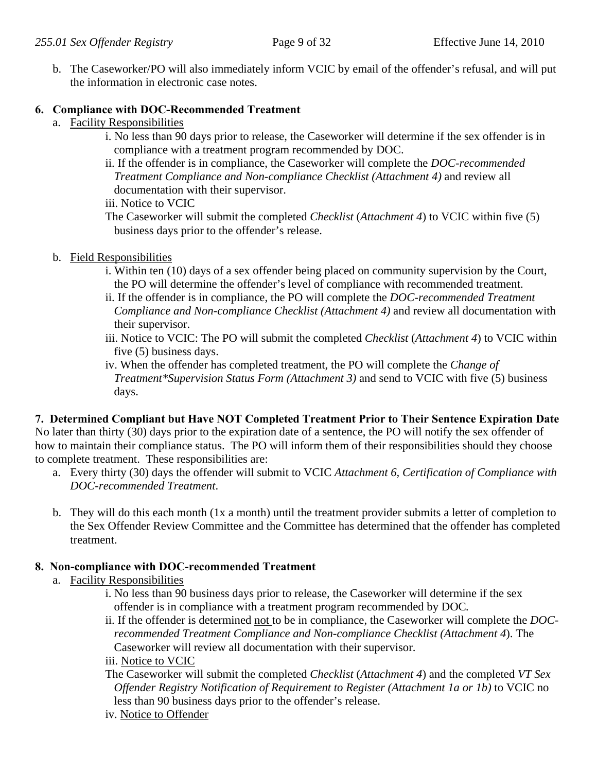b. The Caseworker/PO will also immediately inform VCIC by email of the offender's refusal, and will put the information in electronic case notes.

# **6. Compliance with DOC-Recommended Treatment**

- a. Facility Responsibilities
	- i. No less than 90 days prior to release, the Caseworker will determine if the sex offender is in compliance with a treatment program recommended by DOC.
	- ii. If the offender is in compliance, the Caseworker will complete the *DOC-recommended Treatment Compliance and Non-compliance Checklist (Attachment 4)* and review all documentation with their supervisor.
	- iii. Notice to VCIC

The Caseworker will submit the completed *Checklist* (*Attachment 4*) to VCIC within five (5) business days prior to the offender's release.

- b. Field Responsibilities
	- i. Within ten (10) days of a sex offender being placed on community supervision by the Court, the PO will determine the offender's level of compliance with recommended treatment.
	- ii. If the offender is in compliance, the PO will complete the *DOC-recommended Treatment Compliance and Non-compliance Checklist (Attachment 4)* and review all documentation with their supervisor.
	- iii. Notice to VCIC: The PO will submit the completed *Checklist* (*Attachment 4*) to VCIC within five (5) business days.
	- iv. When the offender has completed treatment, the PO will complete the *Change of Treatment\*Supervision Status Form (Attachment 3)* and send to VCIC with five (5) business days.

**7. Determined Compliant but Have NOT Completed Treatment Prior to Their Sentence Expiration Date**  No later than thirty (30) days prior to the expiration date of a sentence, the PO will notify the sex offender of how to maintain their compliance status. The PO will inform them of their responsibilities should they choose to complete treatment. These responsibilities are:

- a. Every thirty (30) days the offender will submit to VCIC *Attachment 6, Certification of Compliance with DOC-recommended Treatment*.
- b. They will do this each month (1x a month) until the treatment provider submits a letter of completion to the Sex Offender Review Committee and the Committee has determined that the offender has completed treatment.

# **8. Non-compliance with DOC-recommended Treatment**

- a. Facility Responsibilities
	- i. No less than 90 business days prior to release, the Caseworker will determine if the sex offender is in compliance with a treatment program recommended by DOC*.*
	- ii. If the offender is determined not to be in compliance, the Caseworker will complete the *DOCrecommended Treatment Compliance and Non-compliance Checklist (Attachment 4*). The Caseworker will review all documentation with their supervisor.

## iii. Notice to VCIC

The Caseworker will submit the completed *Checklist* (*Attachment 4*) and the completed *VT Sex Offender Registry Notification of Requirement to Register (Attachment 1a or 1b)* to VCIC no less than 90 business days prior to the offender's release.

iv. Notice to Offender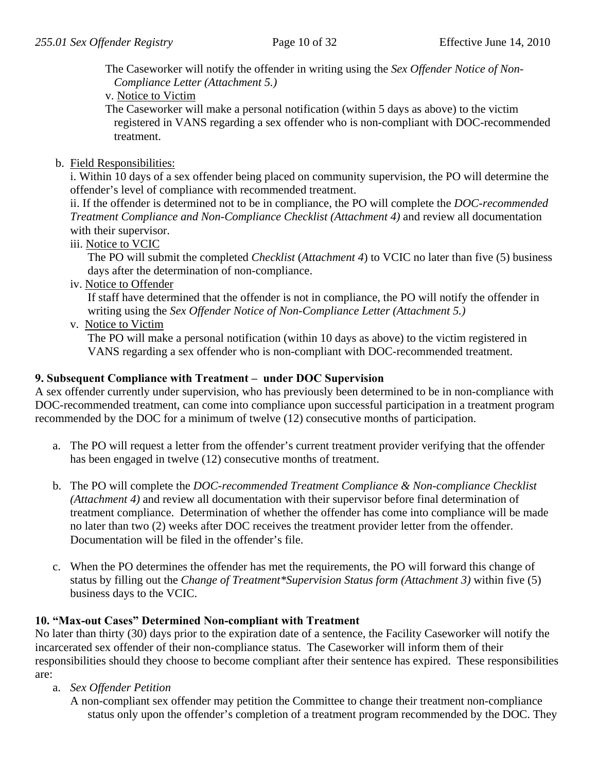The Caseworker will notify the offender in writing using the *Sex Offender Notice of Non-Compliance Letter (Attachment 5.)* 

v. Notice to Victim

The Caseworker will make a personal notification (within 5 days as above) to the victim registered in VANS regarding a sex offender who is non-compliant with DOC-recommended treatment.

b. Field Responsibilities:

i. Within 10 days of a sex offender being placed on community supervision, the PO will determine the offender's level of compliance with recommended treatment.

ii. If the offender is determined not to be in compliance, the PO will complete the *DOC-recommended Treatment Compliance and Non-Compliance Checklist (Attachment 4)* and review all documentation with their supervisor.

iii. Notice to VCIC

The PO will submit the completed *Checklist* (*Attachment 4*) to VCIC no later than five (5) business days after the determination of non-compliance.

iv. Notice to Offender

If staff have determined that the offender is not in compliance, the PO will notify the offender in writing using the *Sex Offender Notice of Non-Compliance Letter (Attachment 5.)* 

v. Notice to Victim

The PO will make a personal notification (within 10 days as above) to the victim registered in VANS regarding a sex offender who is non-compliant with DOC-recommended treatment.

# **9. Subsequent Compliance with Treatment – under DOC Supervision**

A sex offender currently under supervision, who has previously been determined to be in non-compliance with DOC-recommended treatment, can come into compliance upon successful participation in a treatment program recommended by the DOC for a minimum of twelve (12) consecutive months of participation.

- a. The PO will request a letter from the offender's current treatment provider verifying that the offender has been engaged in twelve (12) consecutive months of treatment.
- b. The PO will complete the *DOC-recommended Treatment Compliance & Non-compliance Checklist (Attachment 4)* and review all documentation with their supervisor before final determination of treatment compliance. Determination of whether the offender has come into compliance will be made no later than two (2) weeks after DOC receives the treatment provider letter from the offender. Documentation will be filed in the offender's file.
- c. When the PO determines the offender has met the requirements, the PO will forward this change of status by filling out the *Change of Treatment\*Supervision Status form (Attachment 3)* within five (5) business days to the VCIC.

# **10. "Max-out Cases" Determined Non-compliant with Treatment**

No later than thirty (30) days prior to the expiration date of a sentence, the Facility Caseworker will notify the incarcerated sex offender of their non-compliance status. The Caseworker will inform them of their responsibilities should they choose to become compliant after their sentence has expired. These responsibilities are:

a. *Sex Offender Petition* 

 A non-compliant sex offender may petition the Committee to change their treatment non-compliance status only upon the offender's completion of a treatment program recommended by the DOC. They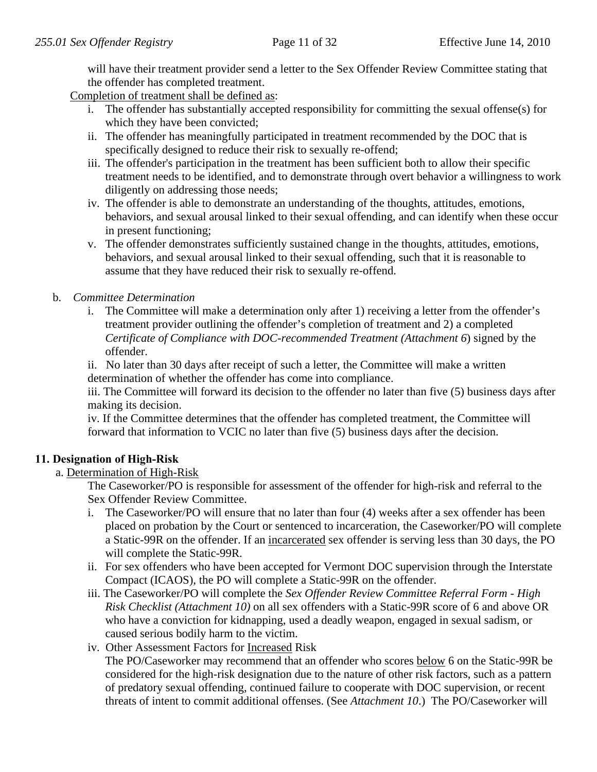will have their treatment provider send a letter to the Sex Offender Review Committee stating that the offender has completed treatment.

Completion of treatment shall be defined as:

- i. The offender has substantially accepted responsibility for committing the sexual offense(s) for which they have been convicted;
- ii. The offender has meaningfully participated in treatment recommended by the DOC that is specifically designed to reduce their risk to sexually re-offend;
- iii. The offender's participation in the treatment has been sufficient both to allow their specific treatment needs to be identified, and to demonstrate through overt behavior a willingness to work diligently on addressing those needs;
- iv. The offender is able to demonstrate an understanding of the thoughts, attitudes, emotions, behaviors, and sexual arousal linked to their sexual offending, and can identify when these occur in present functioning;
- v. The offender demonstrates sufficiently sustained change in the thoughts, attitudes, emotions, behaviors, and sexual arousal linked to their sexual offending, such that it is reasonable to assume that they have reduced their risk to sexually re-offend.

# b. *Committee Determination*

- i. The Committee will make a determination only after 1) receiving a letter from the offender's treatment provider outlining the offender's completion of treatment and 2) a completed *Certificate of Compliance with DOC-recommended Treatment (Attachment 6*) signed by the offender.
- ii. No later than 30 days after receipt of such a letter, the Committee will make a written determination of whether the offender has come into compliance.

iii. The Committee will forward its decision to the offender no later than five (5) business days after making its decision.

iv. If the Committee determines that the offender has completed treatment, the Committee will forward that information to VCIC no later than five (5) business days after the decision.

# **11. Designation of High-Risk**

# a. Determination of High-Risk

 The Caseworker/PO is responsible for assessment of the offender for high-risk and referral to the Sex Offender Review Committee.

- i. The Caseworker/PO will ensure that no later than four (4) weeks after a sex offender has been placed on probation by the Court or sentenced to incarceration, the Caseworker/PO will complete a Static-99R on the offender. If an incarcerated sex offender is serving less than 30 days, the PO will complete the Static-99R.
- ii. For sex offenders who have been accepted for Vermont DOC supervision through the Interstate Compact (ICAOS), the PO will complete a Static-99R on the offender.
- iii. The Caseworker/PO will complete the *Sex Offender Review Committee Referral Form High Risk Checklist (Attachment 10)* on all sex offenders with a Static-99R score of 6 and above OR who have a conviction for kidnapping, used a deadly weapon, engaged in sexual sadism, or caused serious bodily harm to the victim.
- iv. Other Assessment Factors for Increased Risk The PO/Caseworker may recommend that an offender who scores below 6 on the Static-99R be considered for the high-risk designation due to the nature of other risk factors, such as a pattern of predatory sexual offending, continued failure to cooperate with DOC supervision, or recent threats of intent to commit additional offenses. (See *Attachment 10*.) The PO/Caseworker will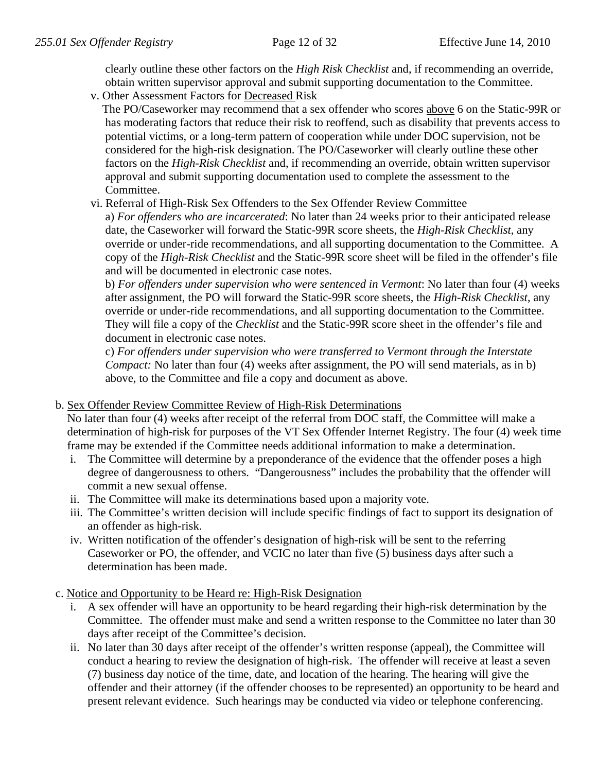clearly outline these other factors on the *High Risk Checklist* and, if recommending an override, obtain written supervisor approval and submit supporting documentation to the Committee.

v. Other Assessment Factors for Decreased Risk

 The PO/Caseworker may recommend that a sex offender who scores above 6 on the Static-99R or has moderating factors that reduce their risk to reoffend, such as disability that prevents access to potential victims, or a long-term pattern of cooperation while under DOC supervision, not be considered for the high-risk designation. The PO/Caseworker will clearly outline these other factors on the *High-Risk Checklist* and, if recommending an override, obtain written supervisor approval and submit supporting documentation used to complete the assessment to the Committee.

vi. Referral of High-Risk Sex Offenders to the Sex Offender Review Committee

 a) *For offenders who are incarcerated*: No later than 24 weeks prior to their anticipated release date, the Caseworker will forward the Static-99R score sheets, the *High-Risk Checklist*, any override or under-ride recommendations, and all supporting documentation to the Committee. A copy of the *High-Risk Checklist* and the Static-99R score sheet will be filed in the offender's file and will be documented in electronic case notes.

 b) *For offenders under supervision who were sentenced in Vermont*: No later than four (4) weeks after assignment, the PO will forward the Static-99R score sheets, the *High-Risk Checklist*, any override or under-ride recommendations, and all supporting documentation to the Committee. They will file a copy of the *Checklist* and the Static-99R score sheet in the offender's file and document in electronic case notes.

 c) *For offenders under supervision who were transferred to Vermont through the Interstate Compact:* No later than four (4) weeks after assignment, the PO will send materials, as in b) above, to the Committee and file a copy and document as above.

# b. Sex Offender Review Committee Review of High-Risk Determinations

 No later than four (4) weeks after receipt of the referral from DOC staff, the Committee will make a determination of high-risk for purposes of the VT Sex Offender Internet Registry. The four (4) week time frame may be extended if the Committee needs additional information to make a determination.

- i. The Committee will determine by a preponderance of the evidence that the offender poses a high degree of dangerousness to others. "Dangerousness" includes the probability that the offender will commit a new sexual offense.
- ii. The Committee will make its determinations based upon a majority vote.
- iii. The Committee's written decision will include specific findings of fact to support its designation of an offender as high-risk.
- iv. Written notification of the offender's designation of high-risk will be sent to the referring Caseworker or PO, the offender, and VCIC no later than five (5) business days after such a determination has been made.
- c. Notice and Opportunity to be Heard re: High-Risk Designation
	- i. A sex offender will have an opportunity to be heard regarding their high-risk determination by the Committee. The offender must make and send a written response to the Committee no later than 30 days after receipt of the Committee's decision.
	- ii. No later than 30 days after receipt of the offender's written response (appeal), the Committee will conduct a hearing to review the designation of high-risk. The offender will receive at least a seven (7) business day notice of the time, date, and location of the hearing. The hearing will give the offender and their attorney (if the offender chooses to be represented) an opportunity to be heard and present relevant evidence. Such hearings may be conducted via video or telephone conferencing.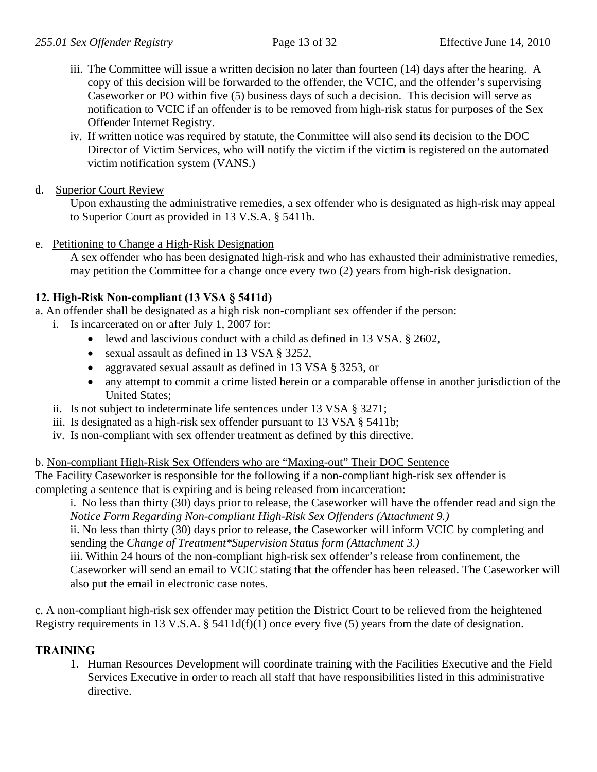- iii. The Committee will issue a written decision no later than fourteen (14) days after the hearing. A copy of this decision will be forwarded to the offender, the VCIC, and the offender's supervising Caseworker or PO within five (5) business days of such a decision. This decision will serve as notification to VCIC if an offender is to be removed from high-risk status for purposes of the Sex Offender Internet Registry.
- iv. If written notice was required by statute, the Committee will also send its decision to the DOC Director of Victim Services, who will notify the victim if the victim is registered on the automated victim notification system (VANS.)
- d. Superior Court Review

Upon exhausting the administrative remedies, a sex offender who is designated as high-risk may appeal to Superior Court as provided in 13 V.S.A. § 5411b.

e. Petitioning to Change a High-Risk Designation

A sex offender who has been designated high-risk and who has exhausted their administrative remedies, may petition the Committee for a change once every two (2) years from high-risk designation.

# **12. High-Risk Non-compliant (13 VSA § 5411d)**

a. An offender shall be designated as a high risk non-compliant sex offender if the person:

- i. Is incarcerated on or after July 1, 2007 for:
	- lewd and lascivious conduct with a child as defined in 13 VSA. § 2602,
	- sexual assault as defined in 13 VSA § 3252,
	- aggravated sexual assault as defined in 13 VSA § 3253, or
	- any attempt to commit a crime listed herein or a comparable offense in another jurisdiction of the United States;
- ii. Is not subject to indeterminate life sentences under 13 VSA § 3271;
- iii. Is designated as a high-risk sex offender pursuant to 13 VSA § 5411b;
- iv. Is non-compliant with sex offender treatment as defined by this directive.

## b. Non-compliant High-Risk Sex Offenders who are "Maxing-out" Their DOC Sentence

The Facility Caseworker is responsible for the following if a non-compliant high-risk sex offender is completing a sentence that is expiring and is being released from incarceration:

i. No less than thirty (30) days prior to release, the Caseworker will have the offender read and sign the *Notice Form Regarding Non-compliant High-Risk Sex Offenders (Attachment 9.)* 

ii. No less than thirty (30) days prior to release, the Caseworker will inform VCIC by completing and sending the *Change of Treatment\*Supervision Status form (Attachment 3.)*

iii. Within 24 hours of the non-compliant high-risk sex offender's release from confinement, the Caseworker will send an email to VCIC stating that the offender has been released. The Caseworker will also put the email in electronic case notes.

c. A non-compliant high-risk sex offender may petition the District Court to be relieved from the heightened Registry requirements in 13 V.S.A. § 5411d(f)(1) once every five (5) years from the date of designation.

# **TRAINING**

1. Human Resources Development will coordinate training with the Facilities Executive and the Field Services Executive in order to reach all staff that have responsibilities listed in this administrative directive.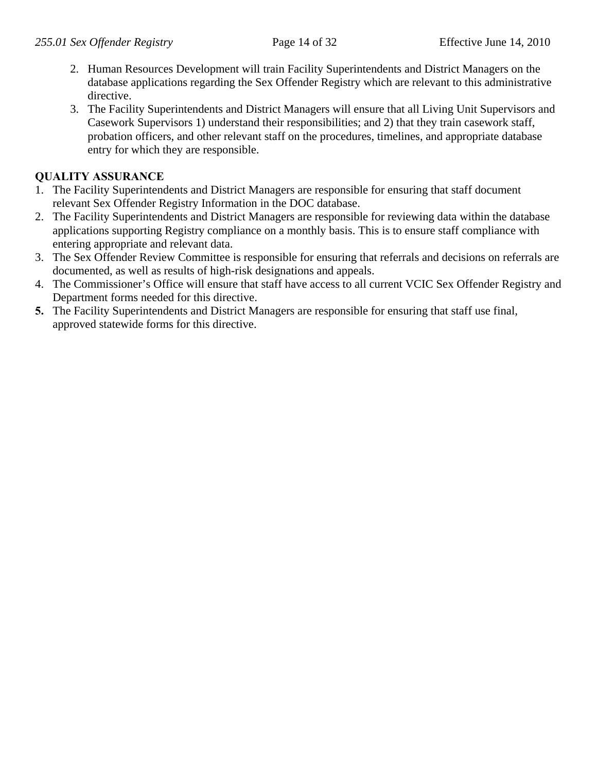- 2. Human Resources Development will train Facility Superintendents and District Managers on the database applications regarding the Sex Offender Registry which are relevant to this administrative directive.
- 3. The Facility Superintendents and District Managers will ensure that all Living Unit Supervisors and Casework Supervisors 1) understand their responsibilities; and 2) that they train casework staff, probation officers, and other relevant staff on the procedures, timelines, and appropriate database entry for which they are responsible.

# **QUALITY ASSURANCE**

- 1. The Facility Superintendents and District Managers are responsible for ensuring that staff document relevant Sex Offender Registry Information in the DOC database.
- 2. The Facility Superintendents and District Managers are responsible for reviewing data within the database applications supporting Registry compliance on a monthly basis. This is to ensure staff compliance with entering appropriate and relevant data.
- 3. The Sex Offender Review Committee is responsible for ensuring that referrals and decisions on referrals are documented, as well as results of high-risk designations and appeals.
- 4. The Commissioner's Office will ensure that staff have access to all current VCIC Sex Offender Registry and Department forms needed for this directive.
- **5.** The Facility Superintendents and District Managers are responsible for ensuring that staff use final, approved statewide forms for this directive.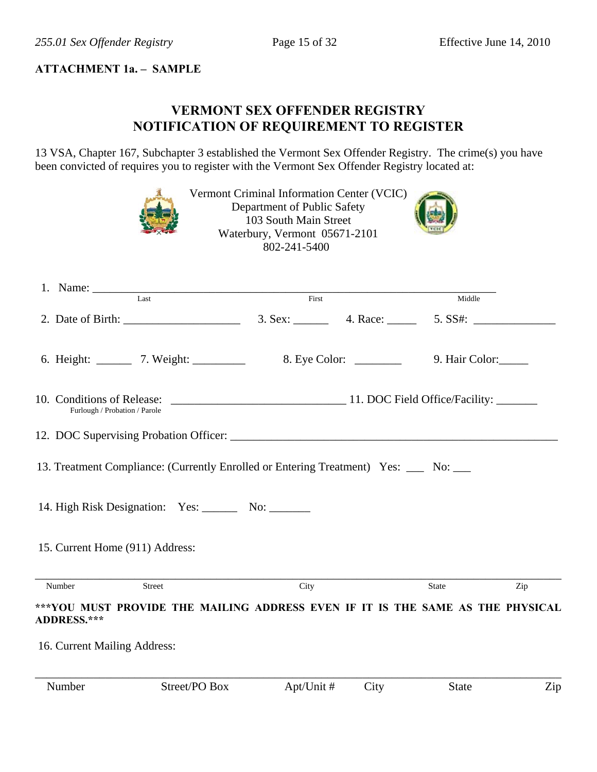## **ATTACHMENT 1a. – SAMPLE**

# **VERMONT SEX OFFENDER REGISTRY NOTIFICATION OF REQUIREMENT TO REGISTER**

13 VSA, Chapter 167, Subchapter 3 established the Vermont Sex Offender Registry. The crime(s) you have been convicted of requires you to register with the Vermont Sex Offender Registry located at:

|                                                             |                                                                                      | Vermont Criminal Information Center (VCIC)<br>Department of Public Safety<br>103 South Main Street<br>Waterbury, Vermont 05671-2101<br>802-241-5400 |      |              |     |
|-------------------------------------------------------------|--------------------------------------------------------------------------------------|-----------------------------------------------------------------------------------------------------------------------------------------------------|------|--------------|-----|
|                                                             | 1. Name: Last First                                                                  |                                                                                                                                                     |      |              |     |
|                                                             |                                                                                      |                                                                                                                                                     |      | Middle       |     |
|                                                             | 6. Height: 7. Weight: 7. Weight: 8. Eye Color: 2001 12. Hair Color:                  |                                                                                                                                                     |      |              |     |
| 10. Conditions of Release:<br>Furlough / Probation / Parole |                                                                                      | 11. DOC Field Office/Facility:                                                                                                                      |      |              |     |
|                                                             |                                                                                      |                                                                                                                                                     |      |              |     |
|                                                             | 13. Treatment Compliance: (Currently Enrolled or Entering Treatment) Yes: ___ No: __ |                                                                                                                                                     |      |              |     |
|                                                             | 14. High Risk Designation: Yes: No: No: No:                                          |                                                                                                                                                     |      |              |     |
| 15. Current Home (911) Address:                             |                                                                                      |                                                                                                                                                     |      |              |     |
| Number                                                      | Street                                                                               | City                                                                                                                                                |      | State        | Zip |
| ADDRESS.***                                                 | ***YOU MUST PROVIDE THE MAILING ADDRESS EVEN IF IT IS THE SAME AS THE PHYSICAL       |                                                                                                                                                     |      |              |     |
| 16. Current Mailing Address:                                |                                                                                      |                                                                                                                                                     |      |              |     |
| Number                                                      | Street/PO Box                                                                        | Apt/Unit #                                                                                                                                          | City | <b>State</b> | Zip |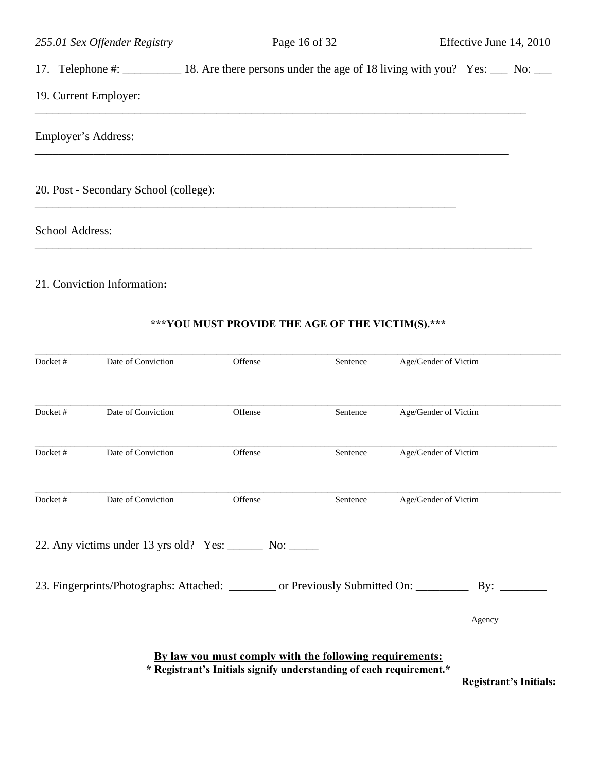17. Telephone #: \_\_\_\_\_\_\_\_\_\_ 18. Are there persons under the age of 18 living with you? Yes: \_\_\_ No: \_\_\_

\_\_\_\_\_\_\_\_\_\_\_\_\_\_\_\_\_\_\_\_\_\_\_\_\_\_\_\_\_\_\_\_\_\_\_\_\_\_\_\_\_\_\_\_\_\_\_\_\_\_\_\_\_\_\_\_\_\_\_\_\_\_\_\_\_\_\_\_\_\_\_\_\_\_\_\_\_\_\_\_\_\_\_\_

\_\_\_\_\_\_\_\_\_\_\_\_\_\_\_\_\_\_\_\_\_\_\_\_\_\_\_\_\_\_\_\_\_\_\_\_\_\_\_\_\_\_\_\_\_\_\_\_\_\_\_\_\_\_\_\_\_\_\_\_\_\_\_\_\_\_\_\_\_\_\_\_\_\_\_\_\_\_\_\_\_

\_\_\_\_\_\_\_\_\_\_\_\_\_\_\_\_\_\_\_\_\_\_\_\_\_\_\_\_\_\_\_\_\_\_\_\_\_\_\_\_\_\_\_\_\_\_\_\_\_\_\_\_\_\_\_\_\_\_\_\_\_\_\_\_\_\_\_\_\_\_\_\_

## 19. Current Employer:

Employer's Address:

20. Post - Secondary School (college):

School Address:

#### 21. Conviction Information**:**

# **\*\*\*YOU MUST PROVIDE THE AGE OF THE VICTIM(S).\*\*\***

\_\_\_\_\_\_\_\_\_\_\_\_\_\_\_\_\_\_\_\_\_\_\_\_\_\_\_\_\_\_\_\_\_\_\_\_\_\_\_\_\_\_\_\_\_\_\_\_\_\_\_\_\_\_\_\_\_\_\_\_\_\_\_\_\_\_\_\_\_\_\_\_\_\_\_\_\_\_\_\_\_\_\_\_\_

| Docket# | Date of Conviction                                                                  | Offense                                                                                                                        | Sentence | Age/Gender of Victim |
|---------|-------------------------------------------------------------------------------------|--------------------------------------------------------------------------------------------------------------------------------|----------|----------------------|
|         |                                                                                     |                                                                                                                                |          |                      |
| Docket# | Date of Conviction                                                                  | Offense                                                                                                                        | Sentence | Age/Gender of Victim |
| Docket# | Date of Conviction                                                                  | Offense                                                                                                                        | Sentence | Age/Gender of Victim |
| Docket# | Date of Conviction                                                                  | Offense                                                                                                                        | Sentence | Age/Gender of Victim |
|         | 22. Any victims under 13 yrs old? Yes: _______ No: ______                           |                                                                                                                                |          |                      |
|         | 23. Fingerprints/Photographs: Attached: ________ or Previously Submitted On: ______ |                                                                                                                                |          | By:                  |
|         |                                                                                     |                                                                                                                                |          | Agency               |
|         |                                                                                     | By law you must comply with the following requirements:<br>* Registrant's Initials signify understanding of each requirement.* |          |                      |

 **Registrant's Initials:**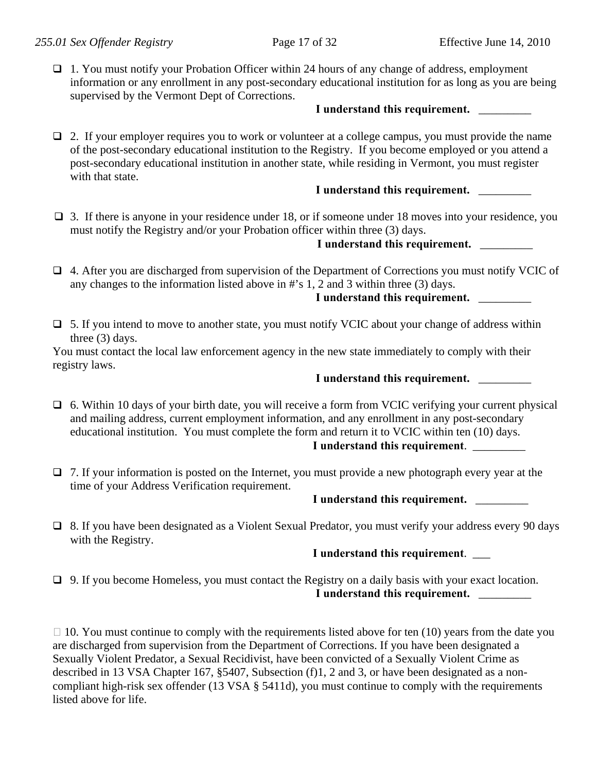□ 1. You must notify your Probation Officer within 24 hours of any change of address, employment information or any enrollment in any post-secondary educational institution for as long as you are being supervised by the Vermont Dept of Corrections.

#### I understand this requirement.

 $\Box$  2. If your employer requires you to work or volunteer at a college campus, you must provide the name of the post-secondary educational institution to the Registry. If you become employed or you attend a post-secondary educational institution in another state, while residing in Vermont, you must register with that state.

## I understand this requirement.

 $\Box$  3. If there is anyone in your residence under 18, or if someone under 18 moves into your residence, you must notify the Registry and/or your Probation officer within three (3) days.

## I understand this requirement.

□ 4. After you are discharged from supervision of the Department of Corrections you must notify VCIC of any changes to the information listed above in #'s 1, 2 and 3 within three (3) days.

# **I understand this requirement.** \_\_\_\_\_\_\_\_\_

 $\Box$  5. If you intend to move to another state, you must notify VCIC about your change of address within three (3) days.

You must contact the local law enforcement agency in the new state immediately to comply with their registry laws.

#### I understand this requirement.

 $\Box$  6. Within 10 days of your birth date, you will receive a form from VCIC verifying your current physical and mailing address, current employment information, and any enrollment in any post-secondary educational institution. You must complete the form and return it to VCIC within ten (10) days.

#### **I understand this requirement**. \_\_\_\_\_\_\_\_\_

 $\Box$  7. If your information is posted on the Internet, you must provide a new photograph every year at the time of your Address Verification requirement.

#### I understand this requirement.

 8. If you have been designated as a Violent Sexual Predator, you must verify your address every 90 days with the Registry.

## **I understand this requirement**. \_\_\_

 $\Box$  9. If you become Homeless, you must contact the Registry on a daily basis with your exact location. I understand this requirement.

 $\Box$  10. You must continue to comply with the requirements listed above for ten (10) years from the date you are discharged from supervision from the Department of Corrections. If you have been designated a Sexually Violent Predator, a Sexual Recidivist, have been convicted of a Sexually Violent Crime as described in 13 VSA Chapter 167, §5407, Subsection (f)1, 2 and 3, or have been designated as a noncompliant high-risk sex offender (13 VSA § 5411d), you must continue to comply with the requirements listed above for life.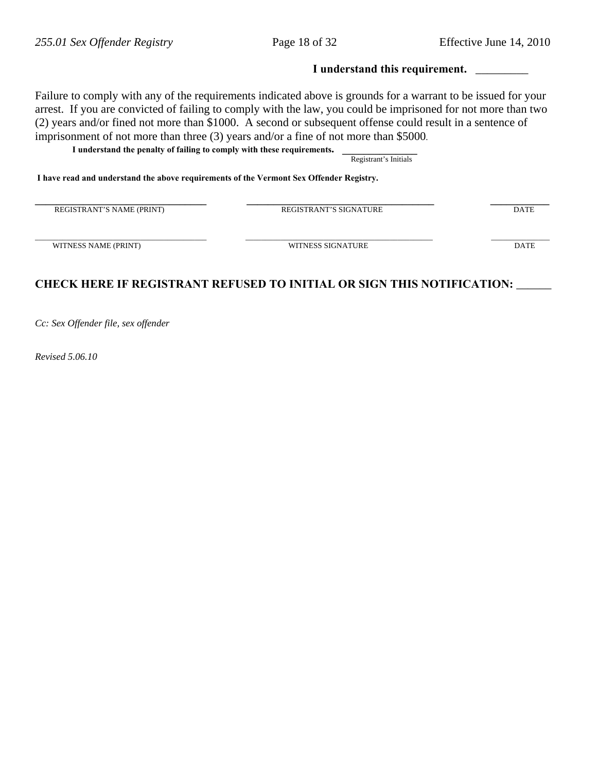#### **I understand this requirement.** \_\_\_\_\_\_\_\_\_

Failure to comply with any of the requirements indicated above is grounds for a warrant to be issued for your arrest. If you are convicted of failing to comply with the law, you could be imprisoned for not more than two (2) years and/or fined not more than \$1000. A second or subsequent offense could result in a sentence of imprisonment of not more than three (3) years and/or a fine of not more than \$5000.

**I understand the penalty of failing to comply with these requirements. \_\_\_\_\_\_\_\_\_\_\_\_\_\_** Registrant's Initials

 **I have read and understand the above requirements of the Vermont Sex Offender Registry.** 

| REGISTRANT'S NAME (PRINT) | <b>REGISTRANT'S SIGNATURE</b> | <b>DATE</b> |
|---------------------------|-------------------------------|-------------|
| WITNESS NAME (PRINT)      | WITNESS SIGNATURE             | <b>DATE</b> |

# **CHECK HERE IF REGISTRANT REFUSED TO INITIAL OR SIGN THIS NOTIFICATION:** \_\_\_\_\_\_

*Cc: Sex Offender file, sex offender* 

*Revised 5.06.10*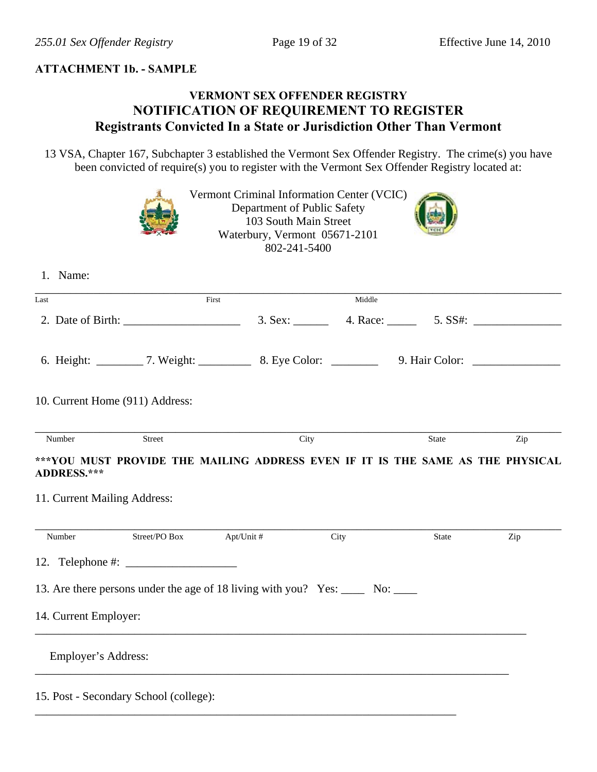## **ATTACHMENT 1b. - SAMPLE**

# **VERMONT SEX OFFENDER REGISTRY NOTIFICATION OF REQUIREMENT TO REGISTER Registrants Convicted In a State or Jurisdiction Other Than Vermont**

13 VSA, Chapter 167, Subchapter 3 established the Vermont Sex Offender Registry. The crime(s) you have been convicted of require(s) you to register with the Vermont Sex Offender Registry located at:

|                                                                                                         |                          | Vermont Criminal Information Center (VCIC)<br>Department of Public Safety<br>103 South Main Street<br>Waterbury, Vermont 05671-2101<br>802-241-5400 |        |       |     |
|---------------------------------------------------------------------------------------------------------|--------------------------|-----------------------------------------------------------------------------------------------------------------------------------------------------|--------|-------|-----|
| 1. Name:                                                                                                |                          |                                                                                                                                                     |        |       |     |
| Last                                                                                                    | $\overline{First}$       |                                                                                                                                                     | Middle |       |     |
|                                                                                                         |                          |                                                                                                                                                     |        |       |     |
|                                                                                                         |                          |                                                                                                                                                     |        |       |     |
| 10. Current Home (911) Address:                                                                         |                          |                                                                                                                                                     |        |       |     |
| Number<br>***YOU MUST PROVIDE THE MAILING ADDRESS EVEN IF IT IS THE SAME AS THE PHYSICAL<br>ADDRESS.*** | Street                   |                                                                                                                                                     | City   | State | Zip |
| 11. Current Mailing Address:                                                                            |                          |                                                                                                                                                     |        |       |     |
| Number                                                                                                  | Street/PO Box Apt/Unit # |                                                                                                                                                     | City   | State | Zip |
| 12. Telephone #: $\_$                                                                                   |                          |                                                                                                                                                     |        |       |     |
| 13. Are there persons under the age of 18 living with you? Yes: _____ No: _____                         |                          |                                                                                                                                                     |        |       |     |
| 14. Current Employer:                                                                                   |                          |                                                                                                                                                     |        |       |     |
| Employer's Address:                                                                                     |                          |                                                                                                                                                     |        |       |     |
| 15. Post - Secondary School (college):                                                                  |                          |                                                                                                                                                     |        |       |     |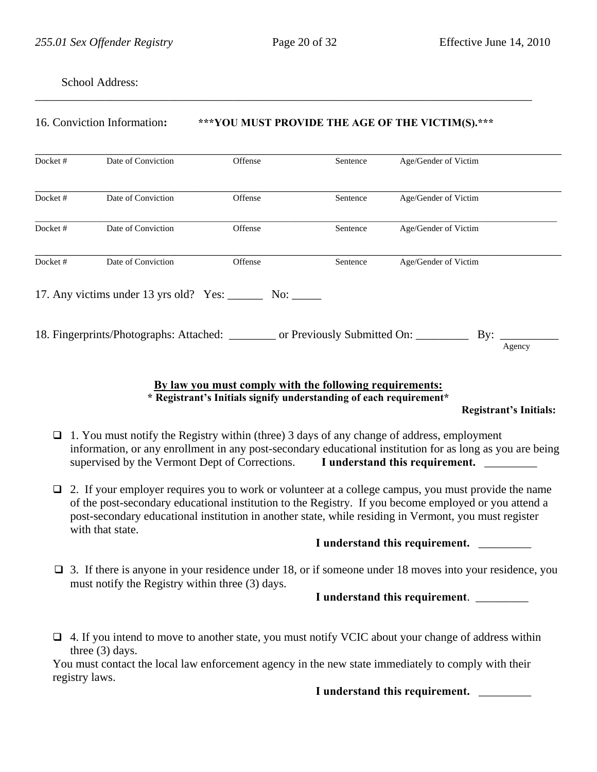School Address:

#### 16. Conviction Information**: \*\*\*YOU MUST PROVIDE THE AGE OF THE VICTIM(S).\*\*\***

\_\_\_\_\_\_\_\_\_\_\_\_\_\_\_\_\_\_\_\_\_\_\_\_\_\_\_\_\_\_\_\_\_\_\_\_\_\_\_\_\_\_\_\_\_\_\_\_\_\_\_\_\_\_\_\_\_\_\_\_\_\_\_\_\_\_\_\_\_\_\_\_\_\_\_\_\_\_\_\_\_\_\_\_\_

| Docket# | Date of Conviction                                                                      | Offense    | Sentence | Age/Gender of Victim     |
|---------|-----------------------------------------------------------------------------------------|------------|----------|--------------------------|
| Docket# | Date of Conviction                                                                      | Offense    | Sentence | Age/Gender of Victim     |
| Docket# | Date of Conviction                                                                      | Offense    | Sentence | Age/Gender of Victim     |
| Docket# | Date of Conviction                                                                      | Offense    | Sentence | Age/Gender of Victim     |
|         | 17. Any victims under 13 yrs old? Yes:                                                  | No: $\_\_$ |          |                          |
|         | 18. Fingerprints/Photographs: Attached: __________ or Previously Submitted On: ________ |            |          | $\mathbf{By:}$<br>Agency |

#### **By law you must comply with the following requirements: \* Registrant's Initials signify understanding of each requirement\***

 **Registrant's Initials:** 

- $\Box$  1. You must notify the Registry within (three) 3 days of any change of address, employment information, or any enrollment in any post-secondary educational institution for as long as you are being supervised by the Vermont Dept of Corrections. **I understand this requirement.**
- $\Box$  2. If your employer requires you to work or volunteer at a college campus, you must provide the name of the post-secondary educational institution to the Registry. If you become employed or you attend a post-secondary educational institution in another state, while residing in Vermont, you must register with that state.

I understand this requirement.

 $\Box$  3. If there is anyone in your residence under 18, or if someone under 18 moves into your residence, you must notify the Registry within three (3) days.

#### **I understand this requirement**. \_\_\_\_\_\_\_\_\_

 $\Box$  4. If you intend to move to another state, you must notify VCIC about your change of address within three (3) days.

You must contact the local law enforcement agency in the new state immediately to comply with their registry laws.

I understand this requirement.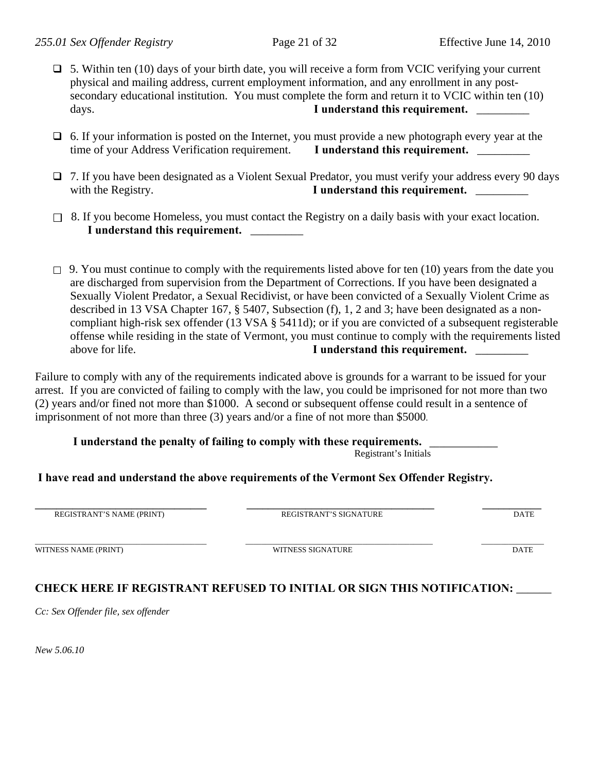- 5. Within ten (10) days of your birth date, you will receive a form from VCIC verifying your current physical and mailing address, current employment information, and any enrollment in any postsecondary educational institution. You must complete the form and return it to VCIC within ten (10) days. **I** understand this requirement.
- $\Box$  6. If your information is posted on the Internet, you must provide a new photograph every year at the time of your Address Verification requirement. **I understand this requirement.** \_\_\_\_\_\_\_\_
- □ 7. If you have been designated as a Violent Sexual Predator, you must verify your address every 90 days with the Registry. **I** understand this requirement.
- $\Box$  8. If you become Homeless, you must contact the Registry on a daily basis with your exact location. I understand this requirement.
- $\Box$  9. You must continue to comply with the requirements listed above for ten (10) years from the date you are discharged from supervision from the Department of Corrections. If you have been designated a Sexually Violent Predator, a Sexual Recidivist, or have been convicted of a Sexually Violent Crime as described in 13 VSA Chapter 167, § 5407, Subsection (f), 1, 2 and 3; have been designated as a noncompliant high-risk sex offender (13 VSA § 5411d); or if you are convicted of a subsequent registerable offense while residing in the state of Vermont, you must continue to comply with the requirements listed above for life. **I** understand this requirement.

Failure to comply with any of the requirements indicated above is grounds for a warrant to be issued for your arrest. If you are convicted of failing to comply with the law, you could be imprisoned for not more than two (2) years and/or fined not more than \$1000. A second or subsequent offense could result in a sentence of imprisonment of not more than three (3) years and/or a fine of not more than \$5000.

I understand the penalty of failing to comply with these requirements.

Registrant's Initials

## **I have read and understand the above requirements of the Vermont Sex Offender Registry.**

| REGISTRANT'S NAME (PRINT) | REGISTRANT'S SIGNATURE | <b>DATE</b> |
|---------------------------|------------------------|-------------|
| WITNESS NAME (PRINT)      | WITNESS SIGNATURE      | <b>DATE</b> |

# **CHECK HERE IF REGISTRANT REFUSED TO INITIAL OR SIGN THIS NOTIFICATION:** \_\_\_\_\_\_

*Cc: Sex Offender file, sex offender* 

*New 5.06.10*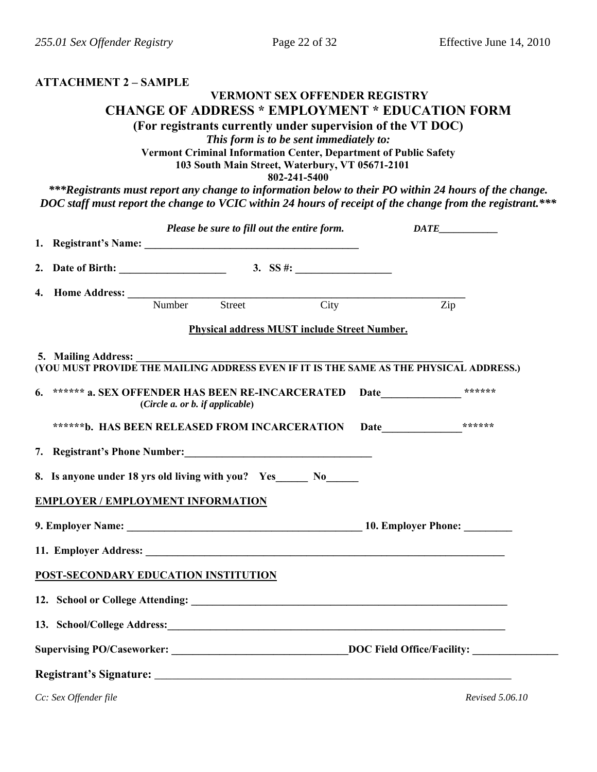#### **ATTACHMENT 2 – SAMPLE**

## **VERMONT SEX OFFENDER REGISTRY CHANGE OF ADDRESS \* EMPLOYMENT \* EDUCATION FORM (For registrants currently under supervision of the VT DOC)**

*This form is to be sent immediately to:* 

**Vermont Criminal Information Center, Department of Public Safety** 

**103 South Main Street, Waterbury, VT 05671-2101** 

**802-241-5400** 

*\*\*\*Registrants must report any change to information below to their PO within 24 hours of the change. DOC staff must report the change to VCIC within 24 hours of receipt of the change from the registrant.\*\*\** 

|                                                                            |                                 | Please be sure to fill out the entire form.  |  | $\mathit{DATE}\_$                                                                                   |
|----------------------------------------------------------------------------|---------------------------------|----------------------------------------------|--|-----------------------------------------------------------------------------------------------------|
|                                                                            |                                 |                                              |  |                                                                                                     |
|                                                                            |                                 |                                              |  |                                                                                                     |
| 4. Home Address: Number Street City                                        |                                 |                                              |  | Zip                                                                                                 |
|                                                                            |                                 |                                              |  |                                                                                                     |
|                                                                            |                                 | Physical address MUST include Street Number. |  |                                                                                                     |
| 5. Mailing Address:                                                        |                                 |                                              |  | (YOU MUST PROVIDE THE MAILING ADDRESS EVEN IF IT IS THE SAME AS THE PHYSICAL ADDRESS.)              |
| 6. ****** a. SEX OFFENDER HAS BEEN RE-INCARCERATED Date____________ ****** |                                 |                                              |  |                                                                                                     |
|                                                                            | (Circle a. or b. if applicable) |                                              |  |                                                                                                     |
| ******b. HAS BEEN RELEASED FROM INCARCERATION Date_______________*******   |                                 |                                              |  |                                                                                                     |
|                                                                            |                                 |                                              |  |                                                                                                     |
| 8. Is anyone under 18 yrs old living with you? Yes_______ No_______        |                                 |                                              |  |                                                                                                     |
|                                                                            |                                 |                                              |  |                                                                                                     |
| <b>EMPLOYER / EMPLOYMENT INFORMATION</b>                                   |                                 |                                              |  |                                                                                                     |
|                                                                            |                                 |                                              |  | 9. Employer Name: 10. Employer Phone:                                                               |
|                                                                            |                                 |                                              |  |                                                                                                     |
| POST-SECONDARY EDUCATION INSTITUTION                                       |                                 |                                              |  |                                                                                                     |
|                                                                            |                                 |                                              |  |                                                                                                     |
|                                                                            |                                 |                                              |  |                                                                                                     |
|                                                                            |                                 |                                              |  |                                                                                                     |
|                                                                            |                                 |                                              |  | Supervising PO/Caseworker: ________________________________DOC Field Office/Facility: _____________ |
|                                                                            |                                 |                                              |  |                                                                                                     |
| Cc: Sex Offender file                                                      |                                 |                                              |  | <i>Revised 5.06.10</i>                                                                              |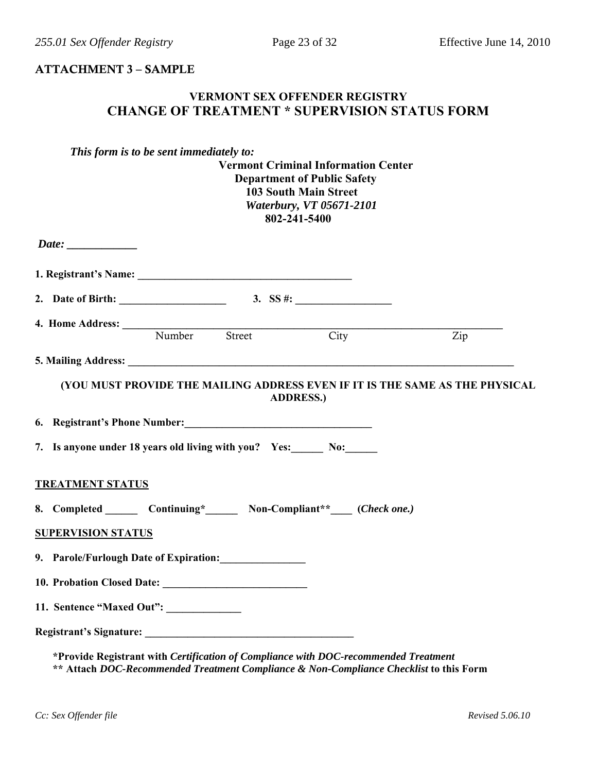#### ATTACHMENT 3 – SAMPLE

## **VERMONT SEX OFFENDER REGISTRY CHANGE OF TREATMENT \* SUPERVISION STATUS FORM**

|                                                               | This form is to be sent immediately to: | <b>Vermont Criminal Information Center</b><br><b>Department of Public Safety</b><br><b>103 South Main Street</b><br><b>Waterbury, VT 05671-2101</b><br>802-241-5400 |                                                                              |
|---------------------------------------------------------------|-----------------------------------------|---------------------------------------------------------------------------------------------------------------------------------------------------------------------|------------------------------------------------------------------------------|
|                                                               |                                         |                                                                                                                                                                     |                                                                              |
|                                                               |                                         |                                                                                                                                                                     |                                                                              |
|                                                               |                                         |                                                                                                                                                                     |                                                                              |
| 4. Home Address: Number Street City                           |                                         |                                                                                                                                                                     | $\mathsf{Zip}$                                                               |
|                                                               |                                         |                                                                                                                                                                     |                                                                              |
| 7. Is anyone under 18 years old living with you? Yes: No: No: |                                         | <b>ADDRESS.)</b>                                                                                                                                                    | (YOU MUST PROVIDE THE MAILING ADDRESS EVEN IF IT IS THE SAME AS THE PHYSICAL |
| <b>TREATMENT STATUS</b>                                       |                                         |                                                                                                                                                                     |                                                                              |
| <b>SUPERVISION STATUS</b>                                     |                                         | 8. Completed ________ Continuing*________ Non-Compliant**_____ (Check one.)                                                                                         |                                                                              |
| 9. Parole/Furlough Date of Expiration:                        |                                         |                                                                                                                                                                     |                                                                              |
|                                                               |                                         |                                                                                                                                                                     |                                                                              |
| 11. Sentence "Maxed Out": ______________                      |                                         |                                                                                                                                                                     |                                                                              |
|                                                               |                                         |                                                                                                                                                                     |                                                                              |
|                                                               |                                         | *Provide Registrant with Certification of Compliance with DOC-recommended Treatment                                                                                 |                                                                              |

**\*\* Attach** *DOC-Recommended Treatment Compliance & Non-Compliance Checklist* **to this Form**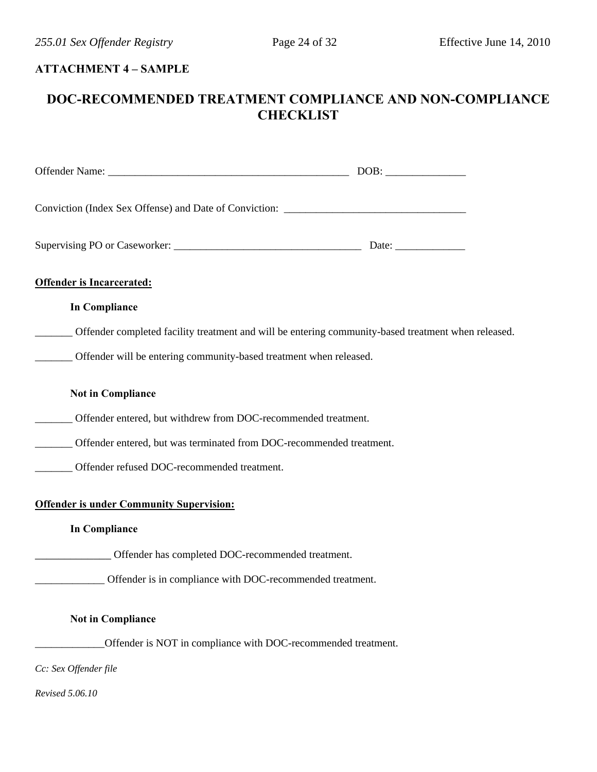# **ATTACHMENT 4 – SAMPLE**

# **DOC-RECOMMENDED TREATMENT COMPLIANCE AND NON-COMPLIANCE CHECKLIST**

| Conviction (Index Sex Offense) and Date of Conviction: __________________________                          |  |
|------------------------------------------------------------------------------------------------------------|--|
|                                                                                                            |  |
| <b>Offender is Incarcerated:</b>                                                                           |  |
| <b>In Compliance</b>                                                                                       |  |
| ______ Offender completed facility treatment and will be entering community-based treatment when released. |  |
| ______ Offender will be entering community-based treatment when released.                                  |  |
| <b>Not in Compliance</b>                                                                                   |  |
| ______ Offender entered, but withdrew from DOC-recommended treatment.                                      |  |
| ______ Offender entered, but was terminated from DOC-recommended treatment.                                |  |
| _____ Offender refused DOC-recommended treatment.                                                          |  |
| <b>Offender is under Community Supervision:</b>                                                            |  |
| <b>In Compliance</b>                                                                                       |  |
| Offender has completed DOC-recommended treatment.                                                          |  |
| Offender is in compliance with DOC-recommended treatment.                                                  |  |
| <b>Not in Compliance</b>                                                                                   |  |
| Offender is NOT in compliance with DOC-recommended treatment.                                              |  |
| Cc: Sex Offender file                                                                                      |  |
| Revised 5.06.10                                                                                            |  |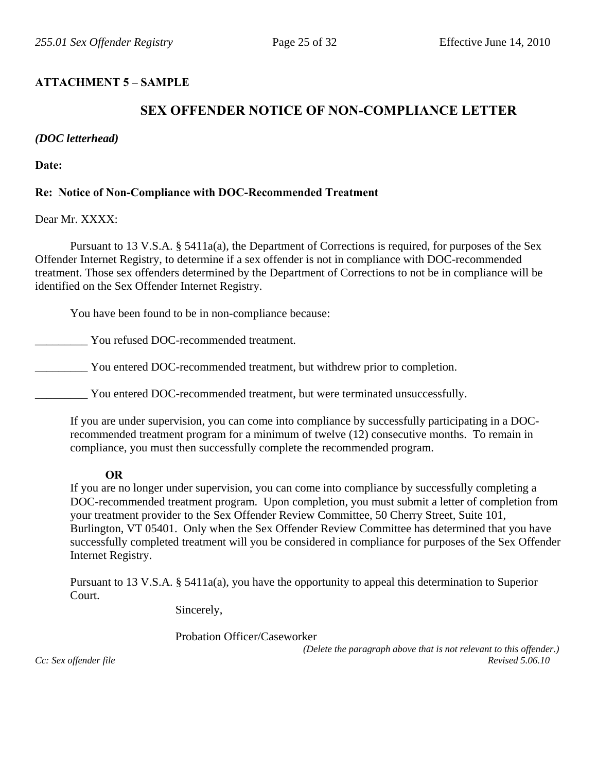## **ATTACHMENT 5 – SAMPLE**

# **SEX OFFENDER NOTICE OF NON-COMPLIANCE LETTER**

#### *(DOC letterhead)*

**Date:** 

## **Re: Notice of Non-Compliance with DOC-Recommended Treatment**

#### Dear Mr. XXXX:

 Pursuant to 13 V.S.A. § 5411a(a), the Department of Corrections is required, for purposes of the Sex Offender Internet Registry, to determine if a sex offender is not in compliance with DOC-recommended treatment. Those sex offenders determined by the Department of Corrections to not be in compliance will be identified on the Sex Offender Internet Registry.

You have been found to be in non-compliance because:

\_\_\_\_\_\_\_\_\_ You refused DOC-recommended treatment.

You entered DOC-recommended treatment, but withdrew prior to completion.

\_\_\_\_\_\_\_\_\_ You entered DOC-recommended treatment, but were terminated unsuccessfully.

If you are under supervision, you can come into compliance by successfully participating in a DOCrecommended treatment program for a minimum of twelve (12) consecutive months. To remain in compliance, you must then successfully complete the recommended program.

#### **OR**

If you are no longer under supervision, you can come into compliance by successfully completing a DOC-recommended treatment program. Upon completion, you must submit a letter of completion from your treatment provider to the Sex Offender Review Committee, 50 Cherry Street, Suite 101, Burlington, VT 05401. Only when the Sex Offender Review Committee has determined that you have successfully completed treatment will you be considered in compliance for purposes of the Sex Offender Internet Registry.

Pursuant to 13 V.S.A. § 5411a(a), you have the opportunity to appeal this determination to Superior Court.

Sincerely,

Probation Officer/Caseworker

 *(Delete the paragraph above that is not relevant to this offender.)* 

*Cc: Sex offender file*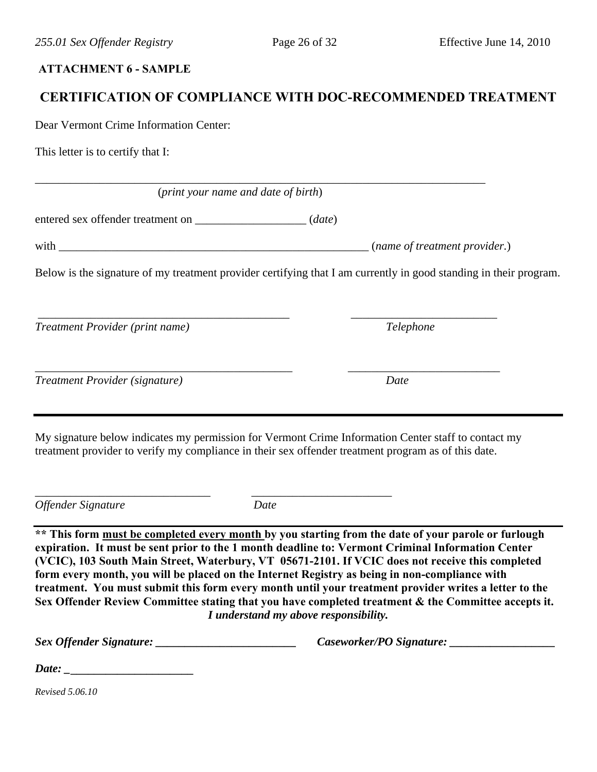## **ATTACHMENT 6 - SAMPLE**

# **CERTIFICATION OF COMPLIANCE WITH DOC-RECOMMENDED TREATMENT**

Dear Vermont Crime Information Center:

This letter is to certify that I:

(*print your name and date of birth*)

\_\_\_\_\_\_\_\_\_\_\_\_\_\_\_\_\_\_\_\_\_\_\_\_\_\_\_\_\_\_\_\_\_\_\_\_\_\_\_\_\_\_\_\_\_\_\_\_\_\_\_\_\_\_\_\_\_\_\_\_\_\_\_\_\_\_\_\_\_\_\_\_\_\_\_\_\_

entered sex offender treatment on \_\_\_\_\_\_\_\_\_\_\_\_\_\_\_\_\_\_\_ (*date*)

| with | <i>(name of treatment provider)</i> |
|------|-------------------------------------|
|------|-------------------------------------|

 $\overline{\phantom{a}}$  , and the contribution of the contribution of the contribution of the contribution of the contribution of the contribution of the contribution of the contribution of the contribution of the contribution of the

 $\overline{\phantom{a}}$  , and the contribution of the contribution of the contribution of the contribution of the contribution of the contribution of the contribution of the contribution of the contribution of the contribution of the

Below is the signature of my treatment provider certifying that I am currently in good standing in their program.

*Treatment Provider (print name) Telephone* 

| Treatment Provider (signature) | Date |
|--------------------------------|------|
|                                |      |

My signature below indicates my permission for Vermont Crime Information Center staff to contact my treatment provider to verify my compliance in their sex offender treatment program as of this date.

*Offender Signature* Date

\_\_\_\_\_\_\_\_\_\_\_\_\_\_\_\_\_\_\_\_\_\_\_\_\_\_\_\_\_\_ \_\_\_\_\_\_\_\_\_\_\_\_\_\_\_\_\_\_\_\_\_\_\_\_

**\*\* This form must be completed every month by you starting from the date of your parole or furlough expiration. It must be sent prior to the 1 month deadline to: Vermont Criminal Information Center (VCIC), 103 South Main Street, Waterbury, VT 05671-2101. If VCIC does not receive this completed form every month, you will be placed on the Internet Registry as being in non-compliance with treatment. You must submit this form every month until your treatment provider writes a letter to the Sex Offender Review Committee stating that you have completed treatment & the Committee accepts it.**  *I understand my above responsibility.* 

*Sex Offender Signature: \_\_\_\_\_\_\_\_\_\_\_\_\_\_\_\_\_\_\_\_\_\_\_\_ Caseworker/PO Signature: \_\_\_\_\_\_\_\_\_\_\_\_\_\_\_\_\_\_* 

| Date: |  |
|-------|--|
|       |  |

*Revised 5.06.10*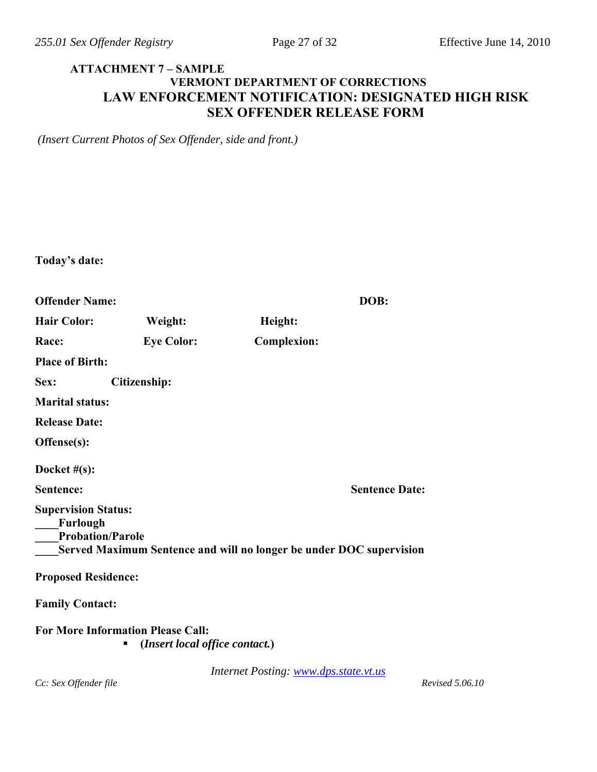## **ATTACHMENT 7 – SAMPLE VERMONT DEPARTMENT OF CORRECTIONS LAW ENFORCEMENT NOTIFICATION: DESIGNATED HIGH RISK SEX OFFENDER RELEASE FORM**

*(Insert Current Photos of Sex Offender, side and front.)* 

| Today's date:                                                     |                                                                            |                                       |                       |
|-------------------------------------------------------------------|----------------------------------------------------------------------------|---------------------------------------|-----------------------|
| <b>Offender Name:</b>                                             |                                                                            |                                       | DOB:                  |
| <b>Hair Color:</b>                                                | Weight:                                                                    | Height:                               |                       |
| Race:                                                             | <b>Eye Color:</b>                                                          | <b>Complexion:</b>                    |                       |
| <b>Place of Birth:</b>                                            |                                                                            |                                       |                       |
| Sex:                                                              | <b>Citizenship:</b>                                                        |                                       |                       |
| <b>Marital status:</b>                                            |                                                                            |                                       |                       |
| <b>Release Date:</b>                                              |                                                                            |                                       |                       |
| Offense(s):                                                       |                                                                            |                                       |                       |
| Docket $#(s)$ :                                                   |                                                                            |                                       |                       |
| Sentence:                                                         |                                                                            |                                       | <b>Sentence Date:</b> |
| <b>Supervision Status:</b><br>Furlough<br><b>Probation/Parole</b> | Served Maximum Sentence and will no longer be under DOC supervision        |                                       |                       |
| <b>Proposed Residence:</b>                                        |                                                                            |                                       |                       |
| <b>Family Contact:</b>                                            |                                                                            |                                       |                       |
|                                                                   | <b>For More Information Please Call:</b><br>(Insert local office contact.) |                                       |                       |
| Cc: Sex Offender file                                             |                                                                            | Internet Posting: www.dps.state.vt.us | Revised 5.06.10       |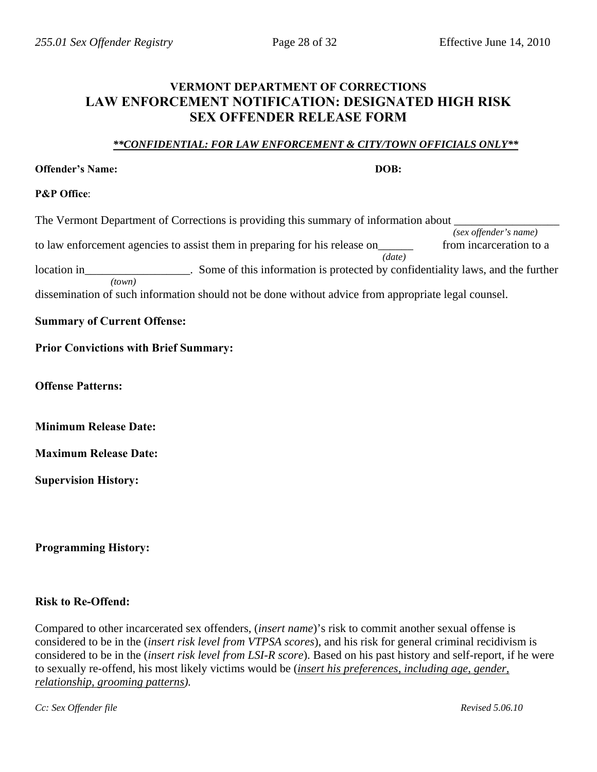# **VERMONT DEPARTMENT OF CORRECTIONS LAW ENFORCEMENT NOTIFICATION: DESIGNATED HIGH RISK SEX OFFENDER RELEASE FORM**

#### *\*\*CONFIDENTIAL: FOR LAW ENFORCEMENT & CITY/TOWN OFFICIALS ONLY\*\**

#### **Offender's Name:** DOB: **DOB: DOB: DOB: DOB: DOB: DOB: DOB: DOB: DOB: DOB: DOB: DOB: DOB: DOB: DOB: DOB: DOB: DOB: DOB: DOB: DOB: DOB: DOB: DOB: DOB: DOB: DOB: DOB: D**

#### **P&P Office**:

The Vermont Department of Corrections is providing this summary of information about  $\Box$ *(sex offender's name)*  to law enforcement agencies to assist them in preparing for his release on\_\_\_\_\_\_ from incarceration to a *(date)*  location in\_\_\_\_\_\_\_\_\_\_\_\_\_\_\_\_\_\_. Some of this information is protected by confidentiality laws, and the further *(town)*  dissemination of such information should not be done without advice from appropriate legal counsel.

## **Summary of Current Offense:**

## **Prior Convictions with Brief Summary:**

**Offense Patterns:** 

**Minimum Release Date:** 

**Maximum Release Date:** 

**Supervision History:** 

**Programming History:** 

## **Risk to Re-Offend:**

Compared to other incarcerated sex offenders, (*insert name*)'s risk to commit another sexual offense is considered to be in the (*insert risk level from VTPSA scores*), and his risk for general criminal recidivism is considered to be in the (*insert risk level from LSI-R score*). Based on his past history and self-report, if he were to sexually re-offend, his most likely victims would be (*insert his preferences, including age, gender, relationship, grooming patterns).*

*Cc: Sex Offender file* Revised 5.06.10 *Revised 5.06.10 Revised 5.06.10*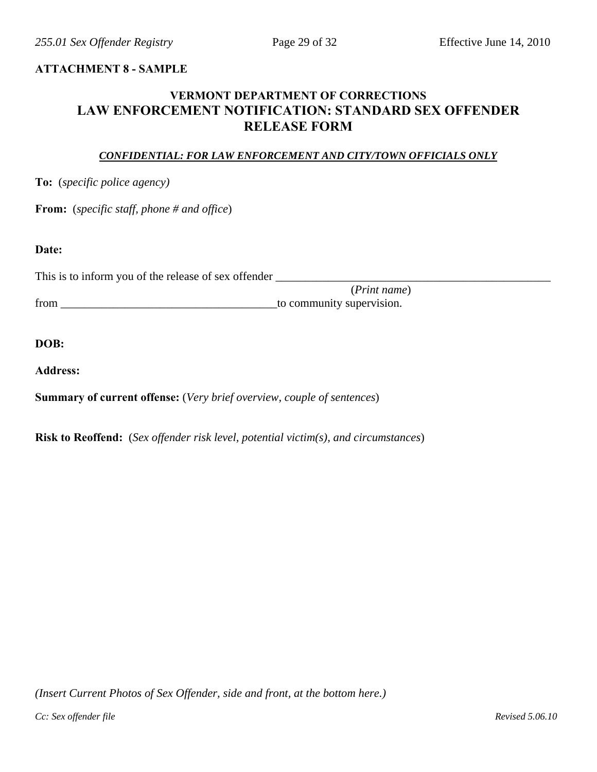#### **ATTACHMENT 8 - SAMPLE**

# **VERMONT DEPARTMENT OF CORRECTIONS LAW ENFORCEMENT NOTIFICATION: STANDARD SEX OFFENDER RELEASE FORM**

#### *CONFIDENTIAL: FOR LAW ENFORCEMENT AND CITY/TOWN OFFICIALS ONLY*

**To:** (*specific police agency)*

**From:** (*specific staff, phone # and office*)

#### **Date:**

This is to inform you of the release of sex offender \_\_\_\_\_\_\_\_\_\_\_\_\_\_\_\_\_\_\_\_\_\_\_\_\_\_\_\_\_\_\_\_\_\_\_\_\_\_\_\_\_\_\_\_\_\_\_

 (*Print name*) from \_\_\_\_\_\_\_\_\_\_\_\_\_\_\_\_\_\_\_\_\_\_\_\_\_\_\_\_\_\_\_\_\_\_\_\_\_to community supervision.

#### **DOB:**

**Address:** 

**Summary of current offense:** (*Very brief overview, couple of sentences*)

**Risk to Reoffend:** (*Sex offender risk level, potential victim(s), and circumstances*)

*(Insert Current Photos of Sex Offender, side and front, at the bottom here.)*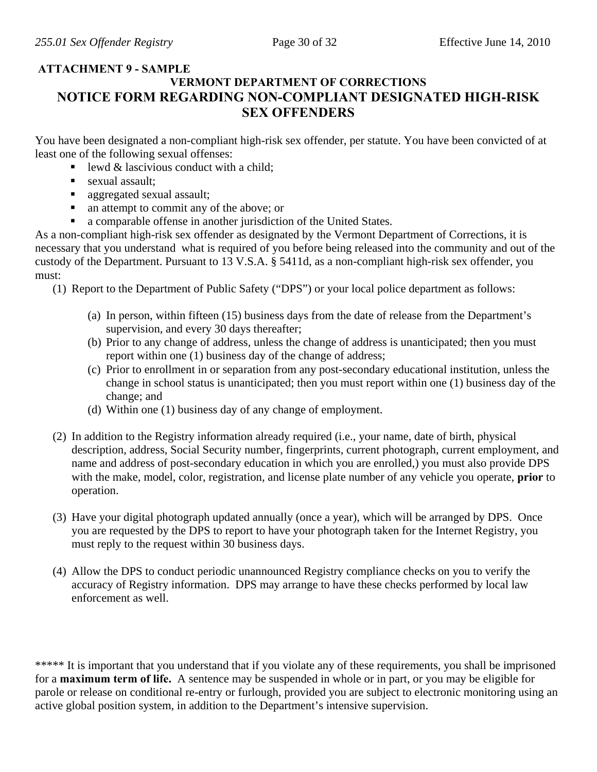## **ATTACHMENT 9 - SAMPLE VERMONT DEPARTMENT OF CORRECTIONS NOTICE FORM REGARDING NON-COMPLIANT DESIGNATED HIGH-RISK SEX OFFENDERS**

You have been designated a non-compliant high-risk sex offender, per statute. You have been convicted of at least one of the following sexual offenses:

- $\blacksquare$  lewd & lascivious conduct with a child:
- sexual assault;
- **aggregated sexual assault;**
- an attempt to commit any of the above; or
- a comparable offense in another jurisdiction of the United States.

As a non-compliant high-risk sex offender as designated by the Vermont Department of Corrections, it is necessary that you understand what is required of you before being released into the community and out of the custody of the Department. Pursuant to 13 V.S.A. § 5411d, as a non-compliant high-risk sex offender, you must:

(1) Report to the Department of Public Safety ("DPS") or your local police department as follows:

- (a) In person, within fifteen (15) business days from the date of release from the Department's supervision, and every 30 days thereafter;
- (b) Prior to any change of address, unless the change of address is unanticipated; then you must report within one (1) business day of the change of address;
- (c) Prior to enrollment in or separation from any post-secondary educational institution, unless the change in school status is unanticipated; then you must report within one (1) business day of the change; and
- (d) Within one (1) business day of any change of employment.
- (2) In addition to the Registry information already required (i.e., your name, date of birth, physical description, address, Social Security number, fingerprints, current photograph, current employment, and name and address of post-secondary education in which you are enrolled,) you must also provide DPS with the make, model, color, registration, and license plate number of any vehicle you operate, **prior** to operation.
- (3) Have your digital photograph updated annually (once a year), which will be arranged by DPS. Once you are requested by the DPS to report to have your photograph taken for the Internet Registry, you must reply to the request within 30 business days.
- (4) Allow the DPS to conduct periodic unannounced Registry compliance checks on you to verify the accuracy of Registry information. DPS may arrange to have these checks performed by local law enforcement as well.

\*\*\*\*\* It is important that you understand that if you violate any of these requirements, you shall be imprisoned for a **maximum term of life.** A sentence may be suspended in whole or in part, or you may be eligible for parole or release on conditional re-entry or furlough, provided you are subject to electronic monitoring using an active global position system, in addition to the Department's intensive supervision.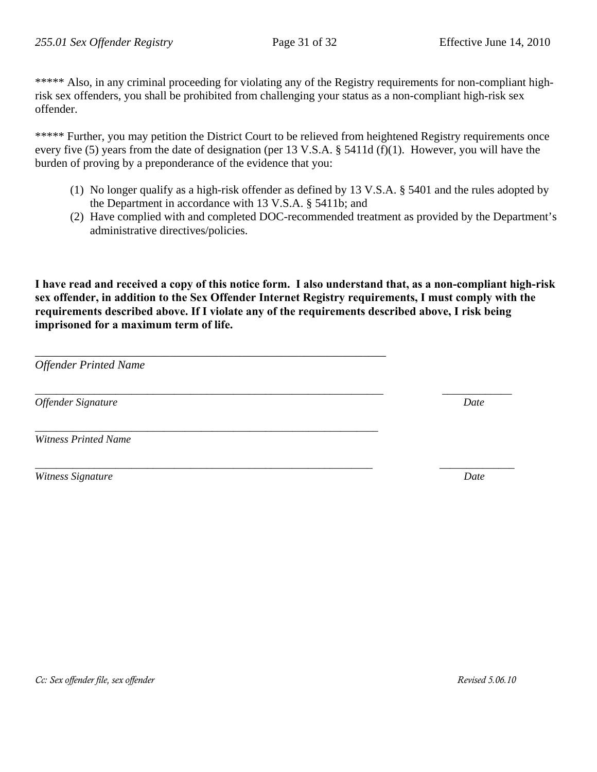\*\*\*\*\* Also, in any criminal proceeding for violating any of the Registry requirements for non-compliant highrisk sex offenders, you shall be prohibited from challenging your status as a non-compliant high-risk sex offender.

\*\*\*\*\* Further, you may petition the District Court to be relieved from heightened Registry requirements once every five (5) years from the date of designation (per 13 V.S.A. § 5411d (f)(1). However, you will have the burden of proving by a preponderance of the evidence that you:

- (1) No longer qualify as a high-risk offender as defined by 13 V.S.A. § 5401 and the rules adopted by the Department in accordance with 13 V.S.A. § 5411b; and
- (2) Have complied with and completed DOC-recommended treatment as provided by the Department's administrative directives/policies.

**I have read and received a copy of this notice form. I also understand that, as a non-compliant high-risk sex offender, in addition to the Sex Offender Internet Registry requirements, I must comply with the requirements described above. If I violate any of the requirements described above, I risk being imprisoned for a maximum term of life.** 

*\_\_\_\_\_\_\_\_\_\_\_\_\_\_\_\_\_\_\_\_\_\_\_\_\_\_\_\_\_\_\_\_\_\_\_\_\_\_\_\_\_\_\_\_\_\_\_\_\_\_\_\_\_\_\_\_\_\_\_\_\_\_\_\_\_ \_\_\_\_\_\_\_\_\_\_\_\_\_* 

\_\_\_\_\_\_\_\_\_\_\_\_\_\_\_\_\_\_\_\_\_\_\_\_\_\_\_\_\_\_\_\_\_\_\_\_\_\_\_\_\_\_\_\_\_\_\_\_\_\_\_\_\_\_\_\_\_\_\_\_

*\_\_\_\_\_\_\_\_\_\_\_\_\_\_\_\_\_\_\_\_\_\_\_\_\_\_\_\_\_\_\_\_\_\_\_\_\_\_\_\_\_\_\_\_\_\_\_\_\_\_\_\_\_\_\_\_\_\_\_\_\_\_\_\_* 

*Offender Printed Name* 

*Offender Signature* Date **Date** 

*Witness Printed Name* 

*Witness Signature* Date **Date** *Date Date Date* 

*\_\_\_\_\_\_\_\_\_\_\_\_\_\_\_\_\_\_\_\_\_\_\_\_\_\_\_\_\_\_\_\_\_\_\_\_\_\_\_\_\_\_\_\_\_\_\_\_\_\_\_\_\_\_\_\_\_\_\_\_\_\_\_ \_\_\_\_\_\_\_\_\_\_\_\_\_\_* 

*Cc: Sex offender file, sex offender*  $\blacksquare$  *Revised 5.06.10*  $\blacksquare$  *Revised 5.06.10*  $\blacksquare$